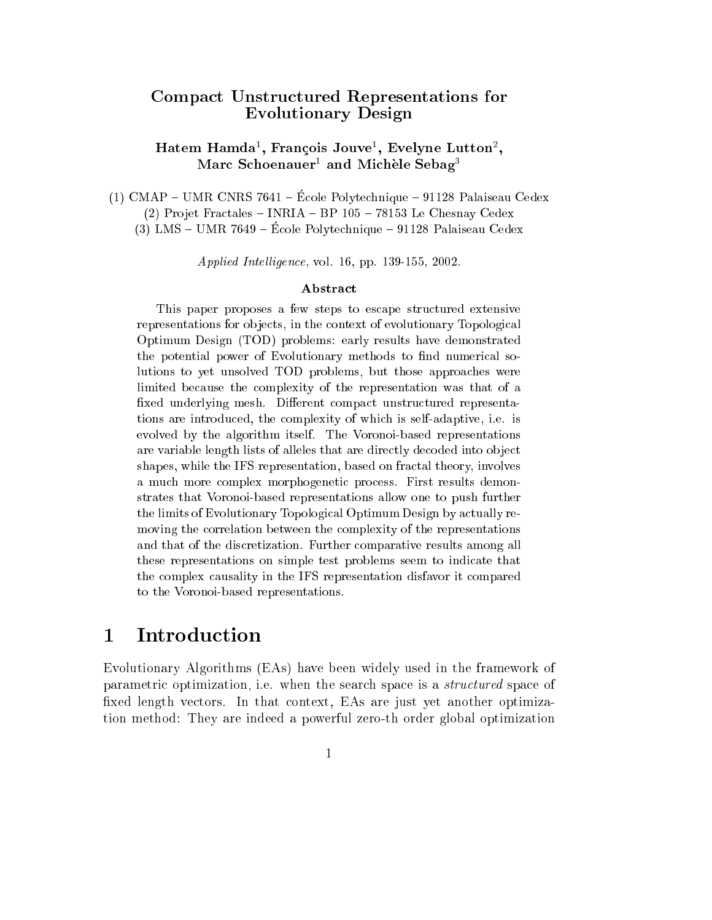## to the production of the state and the production of the state of the state of the state of the state of the s Evolutionary Design

### Hatem Hamda<sup>-</sup>, François Jouve<sup>-</sup>, Evelyne Lutton<sup>-</sup>, iviarc Schoenauer<sup>-</sup> and Michele Sebag-

 $(1)$  CMAP – UMR CNRS 7641 – École Polytechnique – 91128 Palaiseau Cedex  $(2)$  Projet Fractales - INRIA - BP 105 - 78153 Le Chesnay Cedex  $(3)$  LMS – UMR 7649 – École Polytechnique – 91128 Palaiseau Cedex

Applied Intelligence, vol. 16, pp. 139-155, 2002.

### Abstra
t

This paper proposes a few steps to escape structured extensive representations for objects, in the context of evolutionary Topological Optimum Design (TOD) problems: early results have demonstrated the potential power of Evolutionary methods to find numerical solutions to yet unsolved TOD problems, but those approa
hes were limited because the complexity of the representation was that of a fixed underlying mesh. Different compact unstructured representations are introdu
ed, the omplexity of whi
h is self-adaptive, i.e. is evolved by the algorithm itself. The Voronoi-based representations are variable length lists of alleles that are directly decoded into object shapes, while the IFS representation, based on fra
tal theory, involves a much more complex morphogenetic process. First results demonstrates that Voronoi-based representations allow one to push further the limits of Evolutionary Topologi
al Optimum Design by a
tually removing the orrelation between the omplexity of the representations and that of the dis
retization. Further omparative results among all these representations on simple test problems seem to indi
ate that the omplex ausality in the IFS representation disfavor it ompared to the Voronoi-based representations.

## 1 Introdu
tion

Evolutionary Algorithms (EAs) have been widely used in the framework of parametric optimization, i.e. when the search space is a *structured* space of fixed length vectors. In that context, EAs are just yet another optimization method: They are indeed a powerful zero-th order global optimization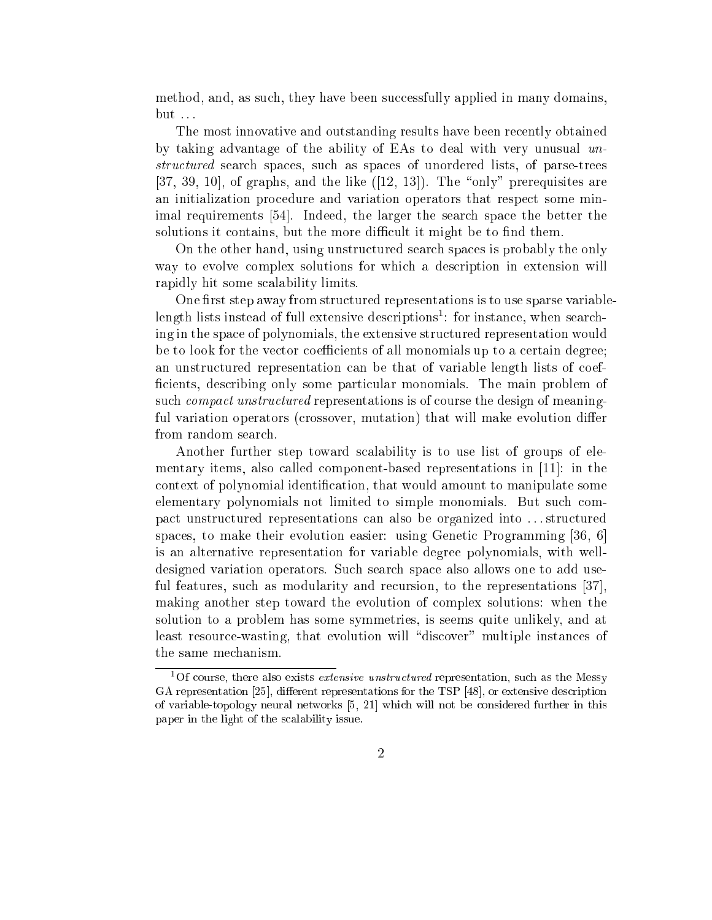method, and, as such, they have been successfully applied in many domains, but . . .

The most innovative and outstanding results have been re
ently obtained by taking advantage of the ability of EAs to deal with very unusual unstructured search spaces, such as spaces of unordered lists, of parse-trees  $[37, 39, 10]$ , of graphs, and the like  $([12, 13])$ . The "only" prerequisites are an initialization pro
edure and variation operators that respe
t some minimal requirements [54]. Indeed, the larger the search space the better the solutions it contains, but the more difficult it might be to find them.

On the other hand, using unstru
tured sear
h spa
es is probably the only way to evolve omplex solutions for whi
h a des
ription in extension will rapidly hit some s
alability limits.

One first step away from structured representations is to use sparse variableiength lists instead of full extensive descriptions<sup>-</sup>: for instance, when searching in the spa
e of polynomials, the extensive stru
tured representation would be to look for the vector coefficients of all monomials up to a certain degree; an unstructured representation can be that of variable length lists of coefficients, describing only some particular monomials. The main problem of such *compact unstructured* representations is of course the design of meaningful variation operators (crossover, mutation) that will make evolution differ from random sear
h.

Another further step toward s
alability is to use list of groups of elementary items, also called component-based representations in  $[11]$ : in the context of polynomial identification, that would amount to manipulate some elementary polynomials not limited to simple monomials. But such compa
t unstru
tured representations an also be organized into . . . stru
tured spaces, to make their evolution easier: using Genetic Programming [36, 6] is an alternative representation for variable degree polynomials, with welldesigned variation operators. Su
h sear
h spa
e also allows one to add useful features, such as modularity and recursion, to the representations  $|37|$ , making another step toward the evolution of omplex solutions: when the solution to a problem has some symmetries, is seems quite unlikely, and at least resource-wasting, that evolution will "discover" multiple instances of the same me
hanism.

<sup>&</sup>lt;sup>1</sup>Of course, there also exists *extensive unstructured* representation, such as the Messy GA representation [25], different representations for the TSP [48], or extensive description of variable-topology neural networks  $[5, 21]$  which will not be considered further in this paper in the light of the s
alability issue.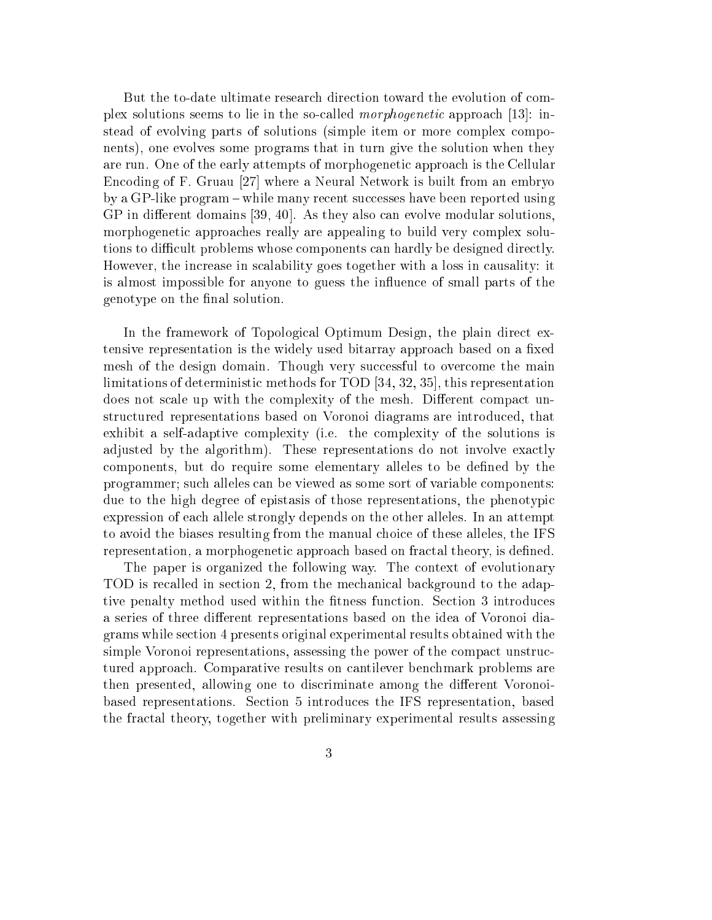But the to-date ultimate resear
h dire
tion toward the evolution of omplex solutions seems to lie in the so-called *morphogenetic* approach [13]: instead of evolving parts of solutions (simple item or more complex components), one evolves some programs that in turn give the solution when they are run. One of the early attempts of morphogenetic approach is the Cellular Encoding of F. Gruau [27] where a Neural Network is built from an embryo by a GP-like program – while many recent successes have been reported using  $GP$  in different domains [39, 40]. As they also can evolve modular solutions, morphogeneti approa
hes really are appealing to build very omplex solutions to difficult problems whose components can hardly be designed directly. However, the increase in scalability goes together with a loss in causality: it is almost impossible for anyone to guess the in
uen
e of small parts of the genotype on the final solution.

In the framework of Topological Optimum Design, the plain direct extensive representation is the widely used bitarray approach based on a fixed mesh of the design domain. Though very successful to overcome the main limitations of deterministic methods for TOD  $[34, 32, 35]$ , this representation does not scale up with the complexity of the mesh. Different compact unstru
tured representations based on Voronoi diagrams are introdu
ed, that exhibit a self-adaptive omplexity (i.e. the omplexity of the solutions is adjusted by the algorithm). These representations do not involve exactly omponents, but do require some elementary alleles to be dened by the programmer; su
h alleles an be viewed as some sort of variable omponents: due to the high degree of epistasis of those representations, the phenotypi expression of ea
h allele strongly depends on the other alleles. In an attempt to avoid the biases resulting from the manual hoi
e of these alleles, the IFS representation, a morphogenetic approach based on fractal theory, is defined.

The paper is organized the following way. The context of evolutionary TOD is re
alled in se
tion 2, from the me
hani
al ba
kground to the adaptive penalty method used within the fitness function. Section 3 introduces a series of three different representations based on the idea of Voronoi diagrams while se
tion 4 presents original experimental results obtained with the simple Voronoi representations, assessing the power of the compact unstructured approa
h. Comparative results on antilever ben
hmark problems are then presented, allowing one to discriminate among the different Voronoibased representations. Se
tion 5 introdu
es the IFS representation, based the fra
tal theory, together with preliminary experimental results assessing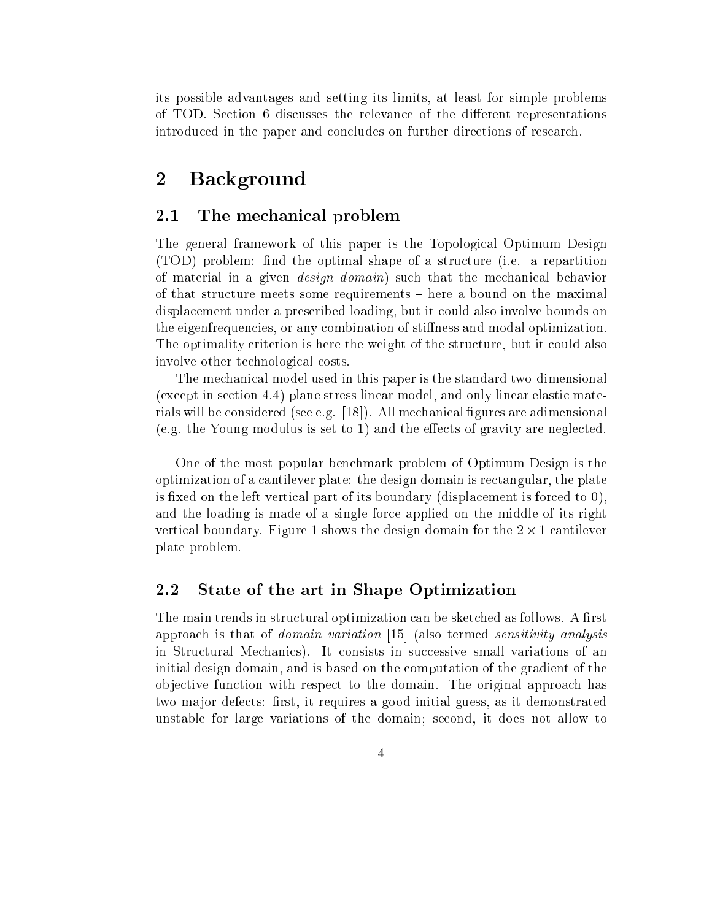its possible advantages and setting its limits, at least for simple problems of TOD. Se
tion 6 dis
usses the relevan
e of the dierent representations introdu
ed in the paper and on
ludes on further dire
tions of resear
h.

# 2 Ba
kground

### 2.1The me
hani
al problem

The general framework of this paper is the Topologi
al Optimum Design (TOD) problem: find the optimal shape of a structure (i.e. a repartition of material in a given *design domain*) such that the mechanical behavior of that structure meets some requirements – here a bound on the maximal displa
ement under a pres
ribed loading, but it ould also involve bounds on the eigenfrequen
ies, or any ombination of stiness and modal optimization. The optimality criterion is here the weight of the structure, but it could also involve other te
hnologi
al osts.

The me
hani
al model used in this paper is the standard two-dimensional (except in section 4.4) plane stress linear model, and only linear elastic materials will be considered (see e.g. [18]). All mechanical figures are adimensional (e.g. the Young modulus is set to 1) and the effects of gravity are neglected.

One of the most popular ben
hmark problem of Optimum Design is the optimization of a antilever plate: the design domain is re
tangular, the plate is fixed on the left vertical part of its boundary (displacement is forced to  $0$ ), and the loading is made of a single for
e applied on the middle of its right verti
al boundary. Figure 1 shows the design domain for the 2 - 1 antilever plate problem.

### $2.2$ State of the art in Shape Optimization

The main trends in structural optimization can be sketched as follows. A first approach is that of *domain variation* [15] (also termed *sensitivity analysis* in Structural Mechanics). It consists in successive small variations of an initial design domain, and is based on the omputation of the gradient of the objective function with respect to the domain. The original approach has two major defects: first, it requires a good initial guess, as it demonstrated unstable for large variations of the domain; se
ond, it does not allow to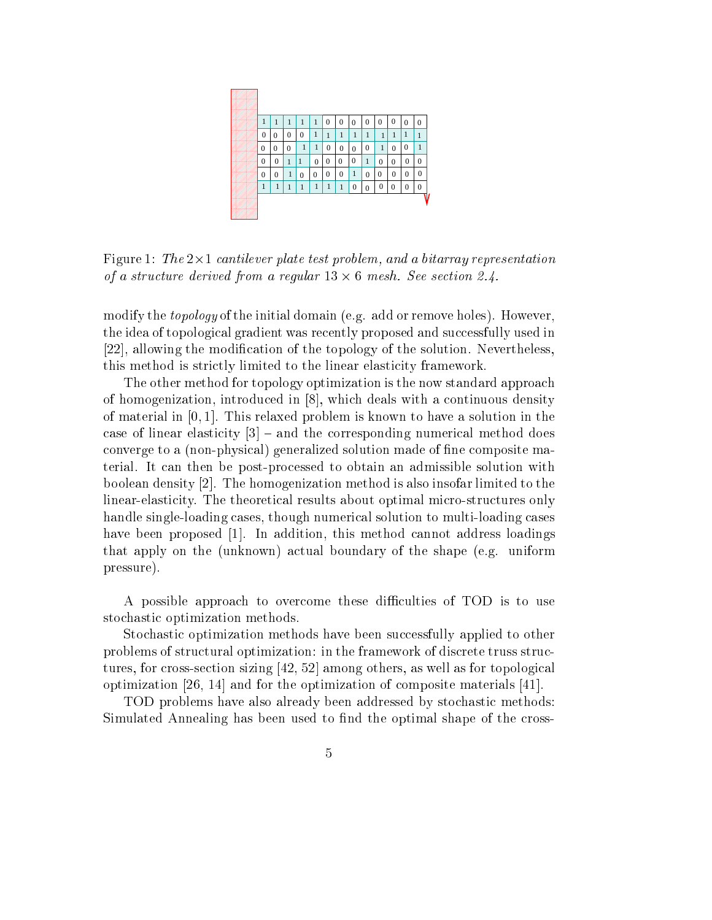

Figure 1: The 2-1 antilever plate test problem, and a bitarray representation of a structure and the from a regular 2.4.1.13 oriented when the seed

modify the *topology* of the initial domain (e.g. add or remove holes). However, the idea of topological gradient was recently proposed and successfully used in [22], allowing the modification of the topology of the solution. Nevertheless, this method is strictly limited to the linear elasticity framework.

The other method for topology optimization is the now standard approa
h of homogenization, introduced in  $[8]$ , which deals with a continuous density of material in  $[0, 1]$ . This relaxed problem is known to have a solution in the case of linear elasticity  $[3]$  – and the corresponding numerical method does onverge to a (non-physi
al) generalized solution made of ne omposite material. It an then be post-pro
essed to obtain an admissible solution with boolean density  $[2]$ . The homogenization method is also insofar limited to the linear-elasticity. The theoretical results about optimal micro-structures only handle single-loading cases, though numerical solution to multi-loading cases have been proposed  $[1]$ . In addition, this method cannot address loadings that apply on the (unknown) a
tual boundary of the shape (e.g. uniform pressure).

A possible approach to overcome these difficulties of TOD is to use sto
hasti optimization methods.

Stochastic optimization methods have been successfully applied to other problems of structural optimization: in the framework of discrete truss structures, for cross-section sizing  $[42, 52]$  among others, as well as for topological optimization  $[26, 14]$  and for the optimization of composite materials  $[41]$ .

TOD problems have also already been addressed by sto
hasti methods: Simulated Annealing has been used to find the optimal shape of the cross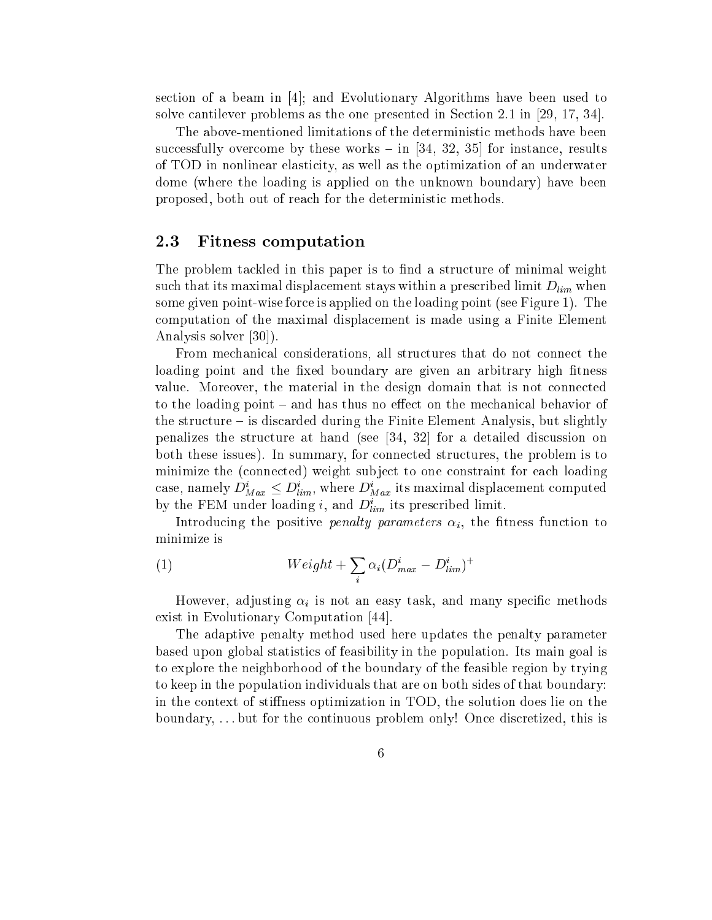section of a beam in  $[4]$ ; and Evolutionary Algorithms have been used to solve cantilever problems as the one presented in Section 2.1 in  $[29, 17, 34]$ .

The above-mentioned limitations of the deterministi methods have been successfully overcome by these works  $-$  in [34, 32, 35] for instance, results of TOD in nonlinear elasticity, as well as the optimization of an underwater dome (where the loading is applied on the unknown boundary) have been proposed, both out of rea
h for the deterministi methods.

#### 2.3Fitness omputation

The problem tackled in this paper is to find a structure of minimal weight such that its maximal displacement stays within a prescribed limit  $D_{lim}$  when some given point-wise force is applied on the loading point (see Figure 1). The omputation of the maximal displa
ement is made using a Finite Element Analysis solver  $|30|$ ).

From mechanical considerations, all structures that do not connect the loading point and the fixed boundary are given an arbitrary high fitness value. Moreover, the material in the design domain that is not onne
ted to the loading point  $-$  and has thus no effect on the mechanical behavior of the structure  $-$  is discarded during the Finite Element Analysis, but slightly penalizes the structure at hand (see  $[34, 32]$  for a detailed discussion on both these issues). In summary, for onne
ted stru
tures, the problem is to minimize the (
onne
ted) weight subje
t to one onstraint for ea
h loading case, namely  $D_{Max}^i \leq D_{lim}^i$ , where  $D_{Max}^i$  its maximal displacement computed by the FEM under loading *i*, and  $D_{lim}^i$  its prescribed limit.

Introducing the positive *penalty parameters*  $\alpha_i$ , the fitness function to minimize is

(1) 
$$
Weight + \sum_{i} \alpha_i (D_{max}^i - D_{lim}^i)^+
$$

However, adjusting  $\alpha_i$  is not an easy task, and many specific methods exist in Evolutionary Computation [44].

The adaptive penalty method used here updates the penalty parameter based upon global statisti
s of feasibility in the population. Its main goal is to explore the neighborhood of the boundary of the feasible region by trying to keep in the population individuals that are on both sides of that boundary: in the context of stiffness optimization in TOD, the solution does lie on the boundary, . . . but for the ontinuous problem only! On
e dis
retized, this is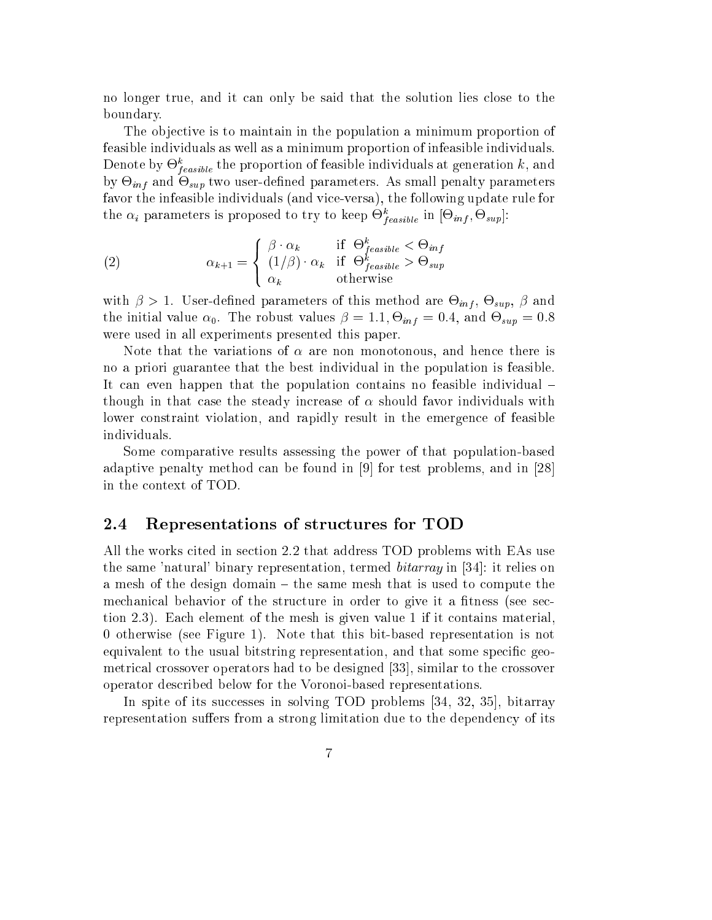no longer true, and it can only be said that the solution lies close to the boundary.

The objective is to maintain in the population a minimum proportion of feasible individuals as well as a minimum proportion of infeasible individuals. Denote by  $\Theta^{k}_{feasible}$  the proportion of feasible individuals at generation  $k,$  and by  $\bigcirc_{inf}$  and  $\bigcirc_{sup}$  two user-denned parameters. As small penalty parameters favor the infeasible individuals (and vice-versa), the following update rule for the  $\alpha_i$  parameters is proposed to try to keep  $\Theta_{feasible}^k$  in  $[\Theta_{inf}, \Theta_{sup}]$ :

(2) 
$$
\alpha_{k+1} = \begin{cases} \beta \cdot \alpha_k & \text{if } \Theta_{feasible}^k < \Theta_{inf} \\ (1/\beta) \cdot \alpha_k & \text{if } \Theta_{feasible}^k > \Theta_{sup} \\ \alpha_k & \text{otherwise} \end{cases}
$$

with  $\rho > 1$ . User-defined parameters of this method are  $\bigcirc_{inf}, \bigcirc_{sup}, \rho$  and the initial value  $\alpha_0$ . The robust values  $\rho = 1.1, \Theta_{inf} = 0.4$ , and  $\Theta_{sup} = 0.8$ were used in all experiments presented this paper.

Note that the variations of  $\alpha$  are non monotonous, and hence there is no a priori guarantee that the best individual in the population is feasible. It can even happen that the population contains no feasible individual – though in that case the steady increase of  $\alpha$  should favor individuals with lower onstraint violation, and rapidly result in the emergen
e of feasible individuals.

Some omparative results assessing the power of that population-based adaptive penalty method can be found in  $[9]$  for test problems, and in  $[28]$ in the ontext of TOD.

#### 2.4Representations of stru
tures for TOD

All the works cited in section 2.2 that address TOD problems with EAs use the same 'natural' binary representation, termed  $\textit{bitarray}$  in [34]: it relies on a mesh of the design domain – the same mesh that is used to compute the mechanical behavior of the structure in order to give it a fitness (see section 2.3). Ea
h element of the mesh is given value 1 if it ontains material, 0 otherwise (see Figure 1). Note that this bit-based representation is not equivalent to the usual bitstring representation, and that some specific geometrical crossover operators had to be designed [33], similar to the crossover operator des
ribed below for the Voronoi-based representations.

In spite of its successes in solving TOD problems [34, 32, 35], bitarray representation suffers from a strong limitation due to the dependency of its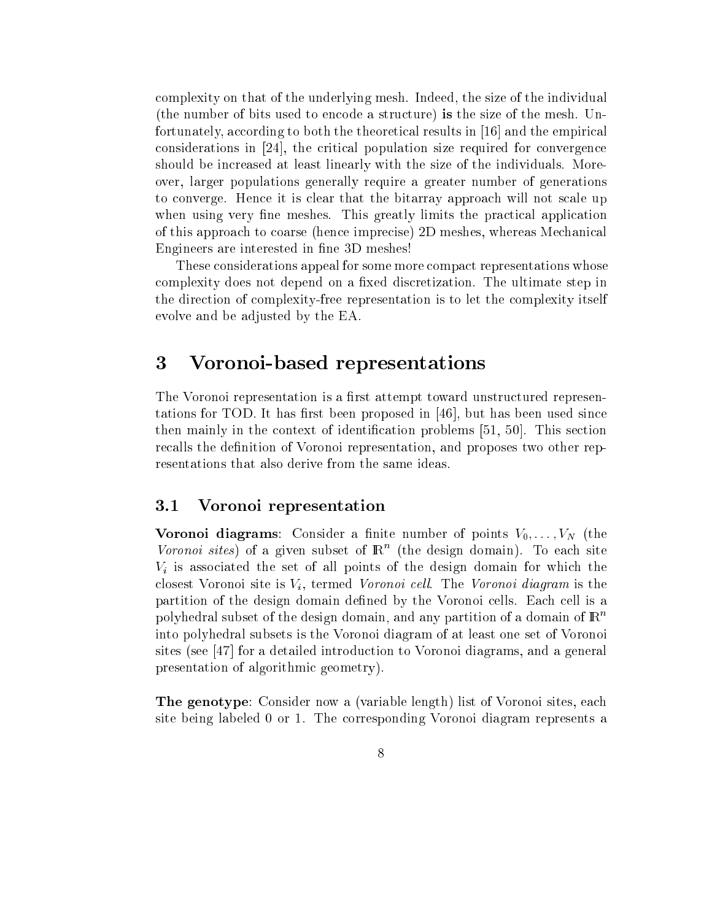omplexity on that of the underlying mesh. Indeed, the size of the individual (the number of bits used to en
ode a stru
ture) is the size of the mesh. Unfortunately, according to both the theoretical results in  $[16]$  and the empirical considerations in  $[24]$ , the critical population size required for convergence should be in
reased at least linearly with the size of the individuals. Moreover, larger populations generally require a greater number of generations to converge. Hence it is clear that the bitarray approach will not scale up when using very fine meshes. This greatly limits the practical application of this approach to coarse (hence imprecise) 2D meshes, whereas Mechanical Engineers are interested in fine 3D meshes!

These onsiderations appeal for some more ompa
t representations whose complexity does not depend on a fixed discretization. The ultimate step in the dire
tion of omplexity-free representation is to let the omplexity itself evolve and be adjusted by the EA.

### 3 Voronoi-based representations 3

The Voronoi representation is a first attempt toward unstructured representations for TOD. It has first been proposed in  $[46]$ , but has been used since then mainly in the context of identification problems  $[51, 50]$ . This section recalls the definition of Voronoi representation, and proposes two other representations that also derive from the same ideas.

#### 3.1Voronoi representation

**voronoi diagrams**. Consider a milite number of points  $v_0, \ldots, v_N$  (the Voronoi sites) of a given subset of  $\mathbb{R}^n$  (the design domain). To each site  $V_i$  is associated the set of all points of the design domain for which the closest Voronoi site is  $V_i$ , termed Voronoi cell. The Voronoi diagram is the partition of the design domain defined by the Voronoi cells. Each cell is a polyhedral subset of the design domain, and any partition of a domain of  $\mathbb{R}^n$ into polyhedral subsets is the Voronoi diagram of at least one set of Voronoi sites (see  $\left[47\right]$  for a detailed introduction to Voronoi diagrams, and a general presentation of algorithmi geometry).

The genotype: Consider now a (variable length) list of Voronoi sites, ea
h site being labeled 0 or 1. The orresponding Voronoi diagram represents a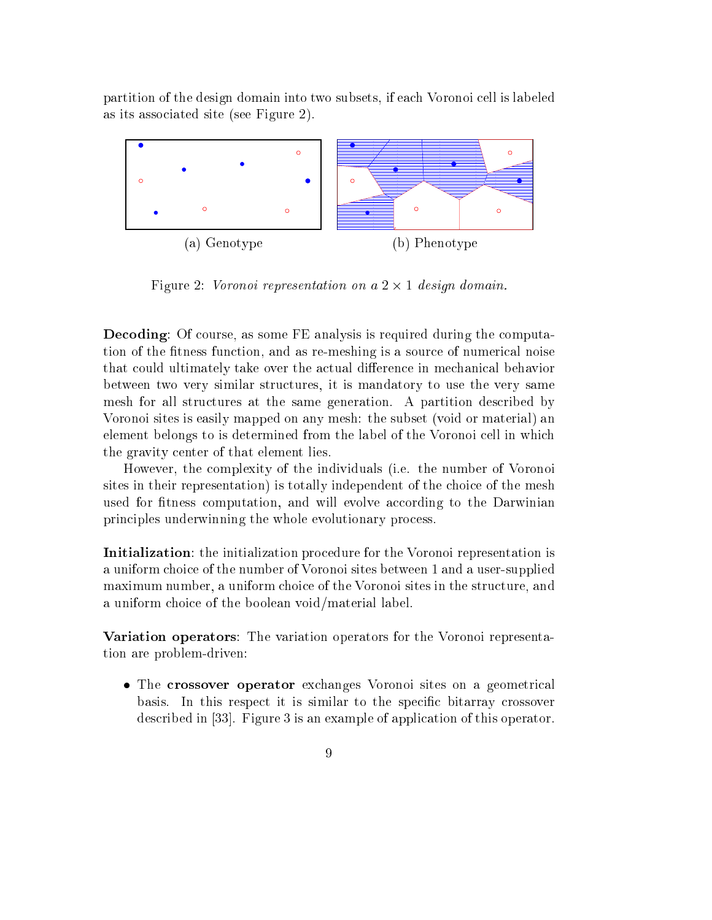partition of the design domain into two subsets, if ea
h Voronoi ell is labeled as its asso
iated site (see Figure 2).



Figure 2: Voronoi representation on a 2 - 1 design domain.

Decoding: Of course, as some FE analysis is required during the computation of the fitness function, and as re-meshing is a source of numerical noise that could ultimately take over the actual difference in mechanical behavior between two very similar structures, it is mandatory to use the very same mesh for all stru
tures at the same generation. A partition des
ribed by Voronoi sites is easily mapped on any mesh: the subset (void or material) an element belongs to is determined from the label of the Voronoi cell in which the gravity enter of that element lies.

However, the omplexity of the individuals (i.e. the number of Voronoi sites in their representation) is totally independent of the choice of the mesh used for fitness computation, and will evolve according to the Darwinian principles underwinning the whole evolutionary process.

Initialization: the initialization pro
edure for the Voronoi representation is a uniform hoi
e of the number of Voronoi sites between 1 and a user-supplied maximum number, a uniform choice of the Voronoi sites in the structure, and a uniform hoi
e of the boolean void/material label.

Variation operators: The variation operators for the Voronoi representation are problem-driven:

 The rossover operator ex
hanges Voronoi sites on a geometri
al basis. In this respect it is similar to the specific bitarray crossover described in [33]. Figure 3 is an example of application of this operator.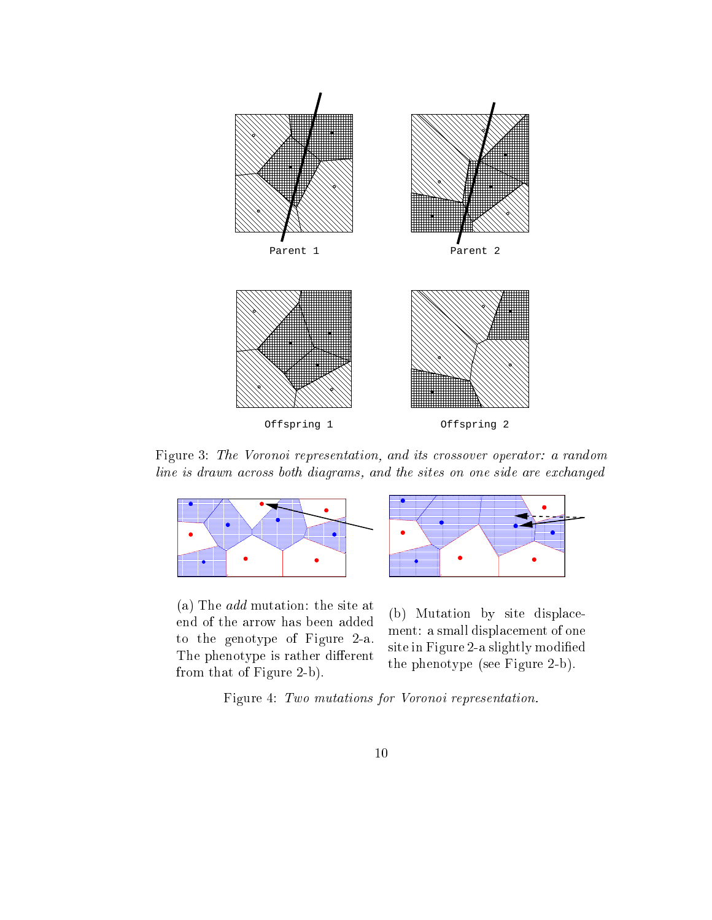

Figure 3: The Voronoi representation, and its crossover operator: a random line is drawn across both diagrams, and the sites on one side are exchanged



(a) The add mutation: the site at end of the arrow has been added to the genotype of Figure 2-a. The phenotype is rather different from that of Figure 2-b).



(b) Mutation by site displa
ement: a small displa
ement of one site in Figure 2-a slightly modified the phenotype (see Figure 2-b).

Figure 4: Two mutations for Voronoi representation.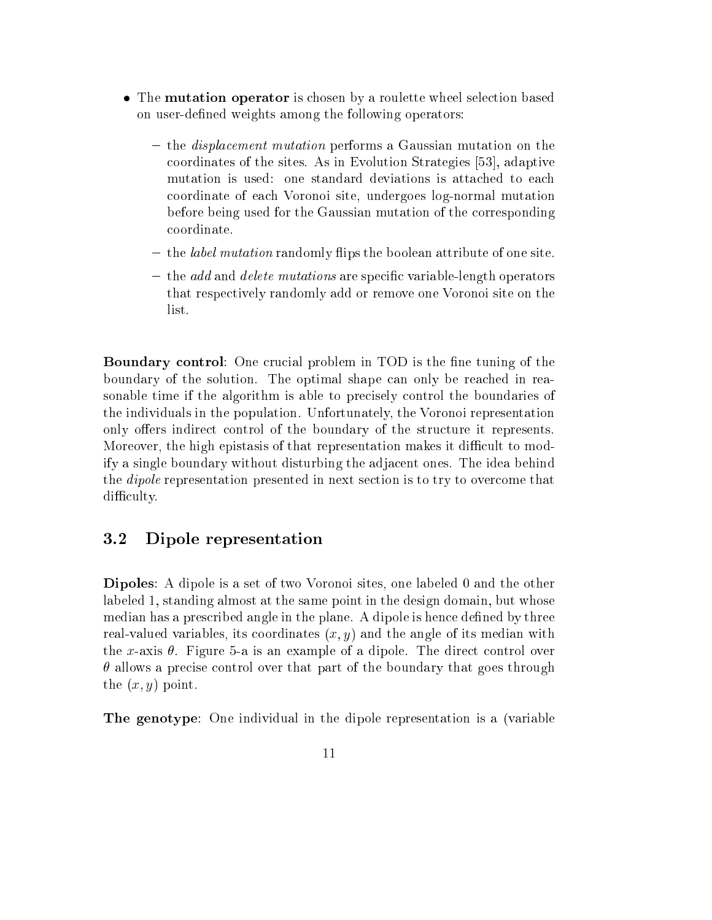- The mutation operator is hosen by a roulette wheel sele
tion based on user-defined weights among the following operators:
	- ement mutation performant mutation performance in the Gaussian mutation and the performance coordinates of the sites. As in Evolution Strategies [53], adaptive mutation is used: one standard deviations is atta
	hed to ea
	h oordinate of ea
	h Voronoi site, undergoes log-normal mutation before being used for the Gaussian mutation of the orresponding oordinate.
	- { the label mutation randomly ips the boolean attribute of one site.
	- { the add and delete mutations are spe
	i variable-length operators that respe
	tively randomly add or remove one Voronoi site on the

Boundary ontrol: One ru
ial problem in TOD is the ne tuning of the boundary of the solution. The optimal shape can only be reached in reasonable time if the algorithm is able to precisely control the boundaries of the individuals in the population. Unfortunately, the Voronoi representation only offers indirect control of the boundary of the structure it represents. Moreover, the high epistasis of that representation makes it difficult to modify a single boundary without disturbing the adja
ent ones. The idea behind the *dipole* representation presented in next section is to try to overcome that difficulty.

### 3.2Dipole representation

Dipoles: A dipole is a set of two Voronoi sites, one labeled 0 and the other labeled 1, standing almost at the same point in the design domain, but whose median has a prescribed angle in the plane. A dipole is hence defined by three real-valued variables, its coordinates  $(x, y)$  and the angle of its median with the x-axis  $\theta$ . Figure 5-a is an example of a dipole. The direct control over  $\theta$  allows a precise control over that part of the boundary that goes through the  $(x, y)$  point.

The genotype: One individual in the dipole representation is a (variable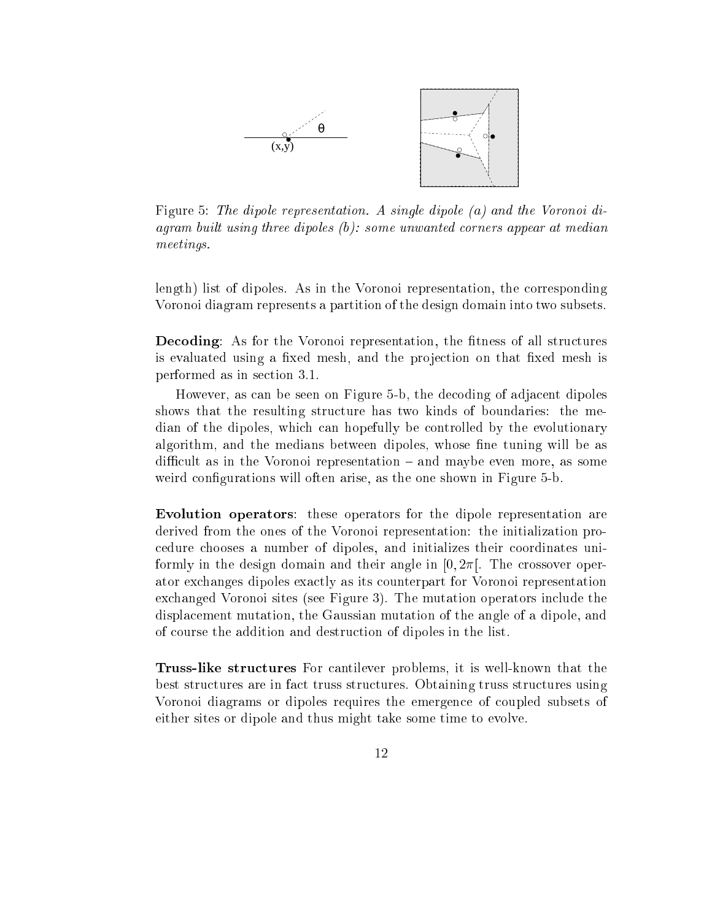

Figure 5: The dipole representation. A single dipole (a) and the Voronoi diagram built using three dipoles  $(b)$ : some unwanted corners appear at median meetings.

length) list of dipoles. As in the Voronoi representation, the orresponding Voronoi diagram represents a partition of the design domain into two subsets.

**Decoding:** As for the Voronoi representation, the fitness of all structures is evaluated using a fixed mesh, and the projection on that fixed mesh is performed as in se
tion 3.1.

However, as an be seen on Figure 5-b, the de
oding of adja
ent dipoles shows that the resulting structure has two kinds of boundaries: the median of the dipoles, whi
h an hopefully be ontrolled by the evolutionary algorithm, and the medians between dipoles, whose fine tuning will be as difficult as in the Voronoi representation – and maybe even more, as some weird configurations will often arise, as the one shown in Figure 5-b.

Evolution operators: these operators for the dipole representation are derived from the ones of the Voronoi representation: the initialization pro edure hooses a number of dipoles, and initializes their oordinates uniformly in the design domain and their angle in  $[0, 2\pi]$ . The crossover operator ex
hanges dipoles exa
tly as its ounterpart for Voronoi representation ex
hanged Voronoi sites (see Figure 3). The mutation operators in
lude the displa
ement mutation, the Gaussian mutation of the angle of a dipole, and of ourse the addition and destru
tion of dipoles in the list.

the structure structure structure in the problems, it is well-known that the t best stru
tures are in fa
t truss stru
tures. Obtaining truss stru
tures using Voronoi diagrams or dipoles requires the emergen
e of oupled subsets of either sites or dipole and thus might take some time to evolve.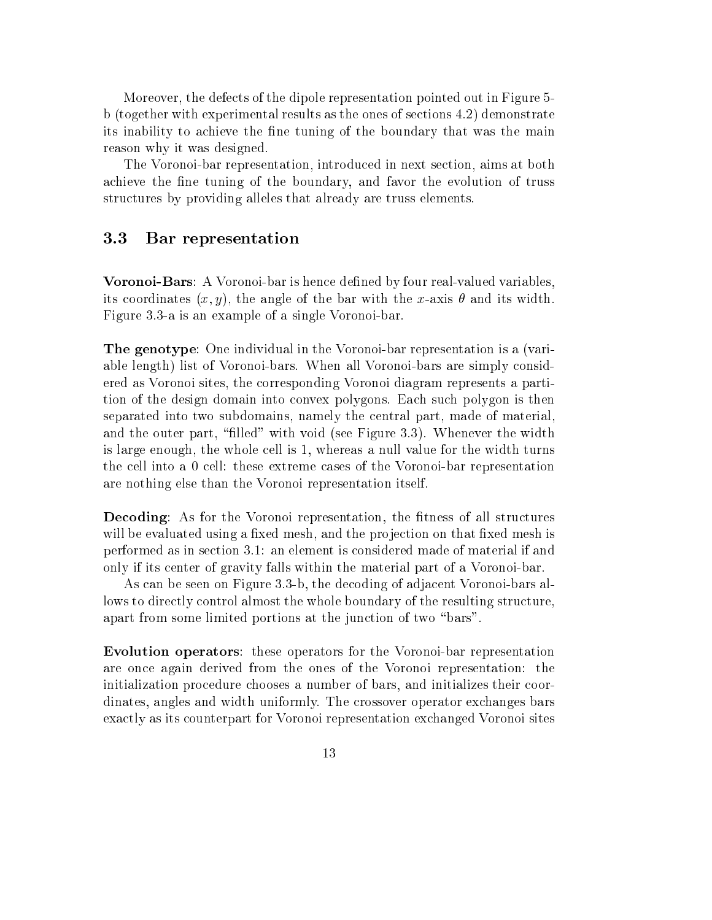Moreover, the defe
ts of the dipole representation pointed out in Figure 5 b (together with experimental results as the ones of se
tions 4.2) demonstrate its inability to achieve the fine tuning of the boundary that was the main reason why it was designed.

The Voronoi-bar representation, introdu
ed in next se
tion, aims at both achieve the fine tuning of the boundary, and favor the evolution of truss structures by providing alleles that already are truss elements.

### 3.3Bar representation

Voronoi-Bars: A Voronoi-bar is hence defined by four real-valued variables, its coordinates  $(x, y)$ , the angle of the bar with the x-axis  $\theta$  and its width. Figure 3.3-a is an example of a single Voronoi-bar.

The genotype: One individual in the Voronoi-bar representation is a (variable length) list of Voronoi-bars. When all Voronoi-bars are simply considered as Voronoi sites, the orresponding Voronoi diagram represents a partition of the design domain into onvex polygons. Ea
h su
h polygon is then separated into two subdomains, namely the entral part, made of material, and the outer part, "filled" with void (see Figure 3.3). Whenever the width is large enough, the whole ell is 1, whereas a null value for the width turns the ell into a 0 ell: these extreme ases of the Voronoi-bar representation are nothing else than the Voronoi representation itself.

Decoding: As for the Voronoi representation, the fitness of all structures will be evaluated using a fixed mesh, and the projection on that fixed mesh is performed as in se
tion 3.1: an element is onsidered made of material if and only if its enter of gravity falls within the material part of a Voronoi-bar.

As an be seen on Figure 3.3-b, the de
oding of adja
ent Voronoi-bars allows to directly control almost the whole boundary of the resulting structure, apart from some limited portions at the junction of two "bars".

Evolution operators: these operators for the Voronoi-bar representation are on
e again derived from the ones of the Voronoi representation: the initialization procedure chooses a number of bars, and initializes their coordinates, angles and width uniformly. The crossover operator exchanges bars exa
tly as its ounterpart for Voronoi representation ex
hanged Voronoi sites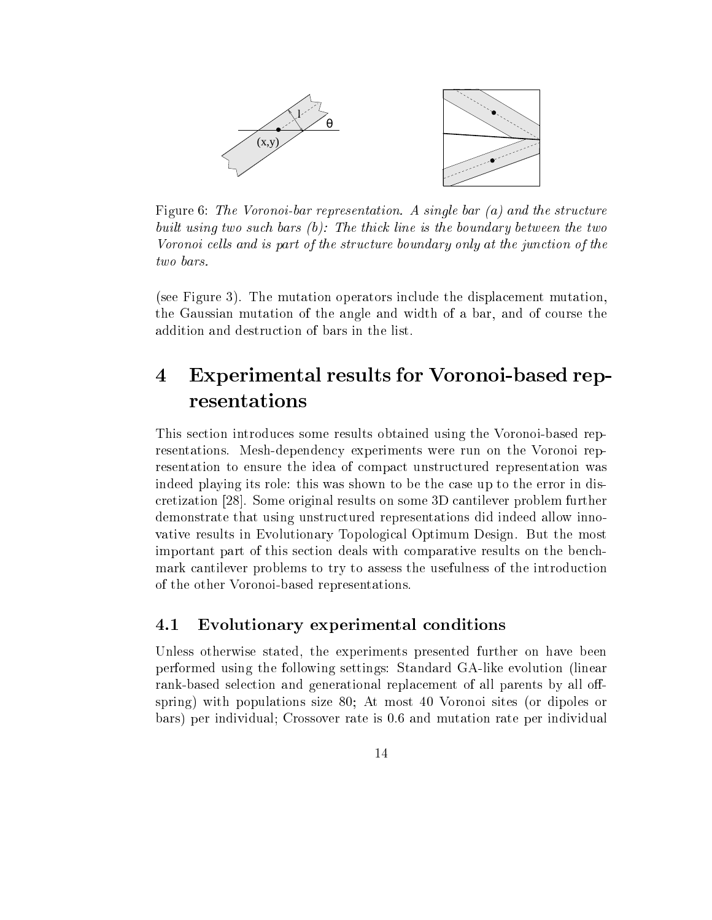

Figure 6: The Voronoi-bar representation. A single bar  $(a)$  and the structure built using two such bars  $(b)$ . The thick line is the boundary between the two Voronoi cells and is part of the structure boundary only at the junction of the

(see Figure 3). The mutation operators in
lude the displa
ement mutation, the Gaussian mutation of the angle and width of a bar, and of ourse the addition and destru
tion of bars in the list.

### 4 Experimental results for Voronoi-based rep- $\boldsymbol{4}$ resentations

This se
tion introdu
es some results obtained using the Voronoi-based representations. Mesh-dependency experiments were run on the Voronoi representation to ensure the idea of compact unstructured representation was indeed playing its role: this was shown to be the ase up to the error in dis cretization [28]. Some original results on some 3D cantilever problem further demonstrate that using unstru
tured representations did indeed allow innovative results in Evolutionary Topologi
al Optimum Design. But the most important part of this se
tion deals with omparative results on the ben
hmark cantilever problems to try to assess the usefulness of the introduction of the other Voronoi-based representations.

## 4.1 Evolutionary experimental conditions

Unless otherwise stated, the experiments presented further on have been performed using the following settings: Standard GA-like evolution (linear rank-based selection and generational replacement of all parents by all offspring) with populations size 80; At most 40 Voronoi sites (or dipoles or bars) per individual; Crossover rate is 0.6 and mutation rate per individual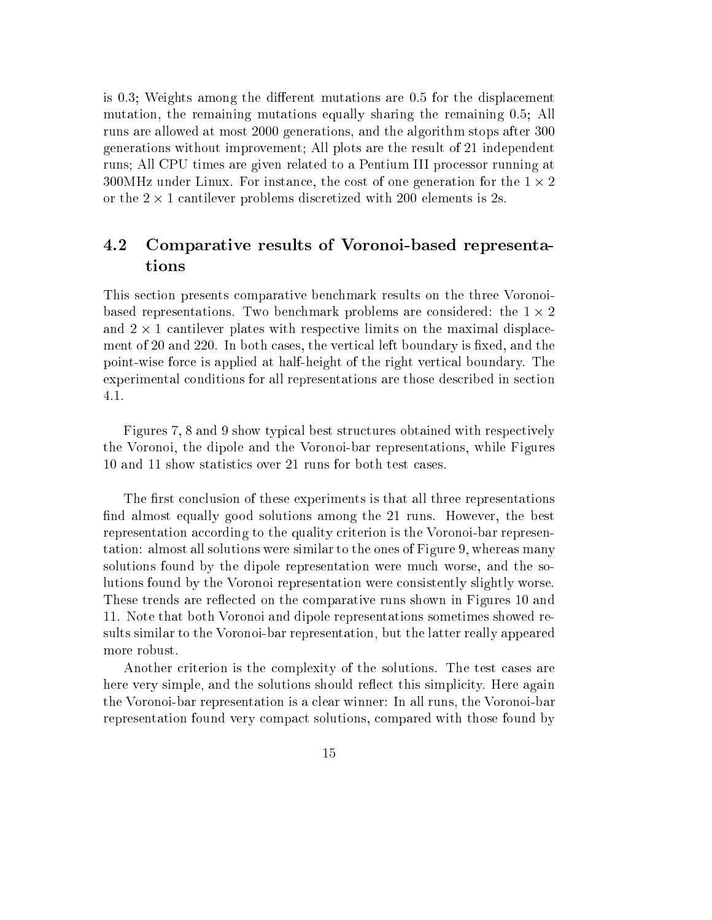is 0.3; Weights among the different mutations are  $0.5$  for the displacement mutation, the remaining mutations equally sharing the remaining 0.5; All runs are allowed at most 2000 generations, and the algorithm stops after 300 generations without improvement; All plots are the result of 21 independent runs; All CPU times are given related to a Pentium III pro
essor running at 300MHz under Linux. For instan
e, the ost of one generation for the 1 - 2 or the 2 - 1 antilever problems dis
retized with 200 elements is 2s.

### 4.2 Comparative results of Voronoi-based representations

This se
tion presents omparative ben
hmark results on the three Voronoibased representations. Two ben
hmark problems are onsidered: the 1 - 2 and 2 - 1 antilever plates with respe
tive limits on the maximal displa
ement of 20 and 220. In both cases, the vertical left boundary is fixed, and the point-wise for
e is applied at half-height of the right verti
al boundary. The experimental onditions for all representations are those des
ribed in se
tion 4.1.

Figures 7, 8 and 9 show typical best structures obtained with respectively the Voronoi, the dipole and the Voronoi-bar representations, while Figures 10 and 11 show statisti
s over 21 runs for both test ases.

The first conclusion of these experiments is that all three representations find almost equally good solutions among the 21 runs. However, the best representation according to the quality criterion is the Voronoi-bar representation: almost all solutions were similar to the ones of Figure 9, whereas many solutions found by the dipole representation were mu
h worse, and the solutions found by the Voronoi representation were onsistently slightly worse. These trends are reflected on the comparative runs shown in Figures 10 and 11. Note that both Voronoi and dipole representations sometimes showed results similar to the Voronoi-bar representation, but the latter really appeared more robust.

Another criterion is the complexity of the solutions. The test cases are here very simple, and the solutions should reflect this simplicity. Here again the Voronoi-bar representation is a lear winner: In all runs, the Voronoi-bar representation found very ompa
t solutions, ompared with those found by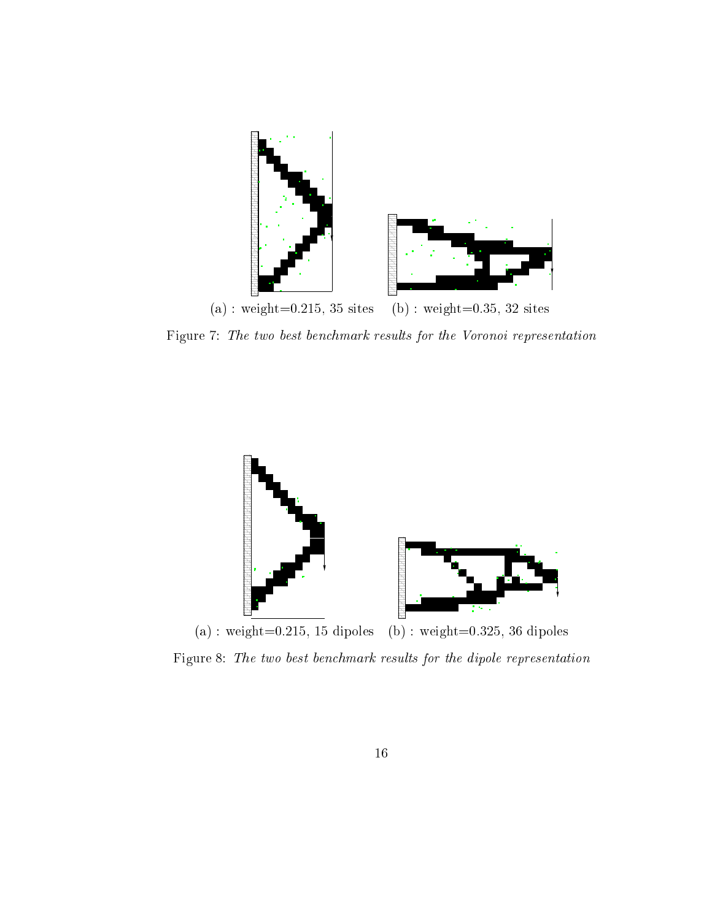

Figure 7: The two best ben
hmark results for the Voronoi representation



Figure 8: The two best ben
hmark results for the dipole representation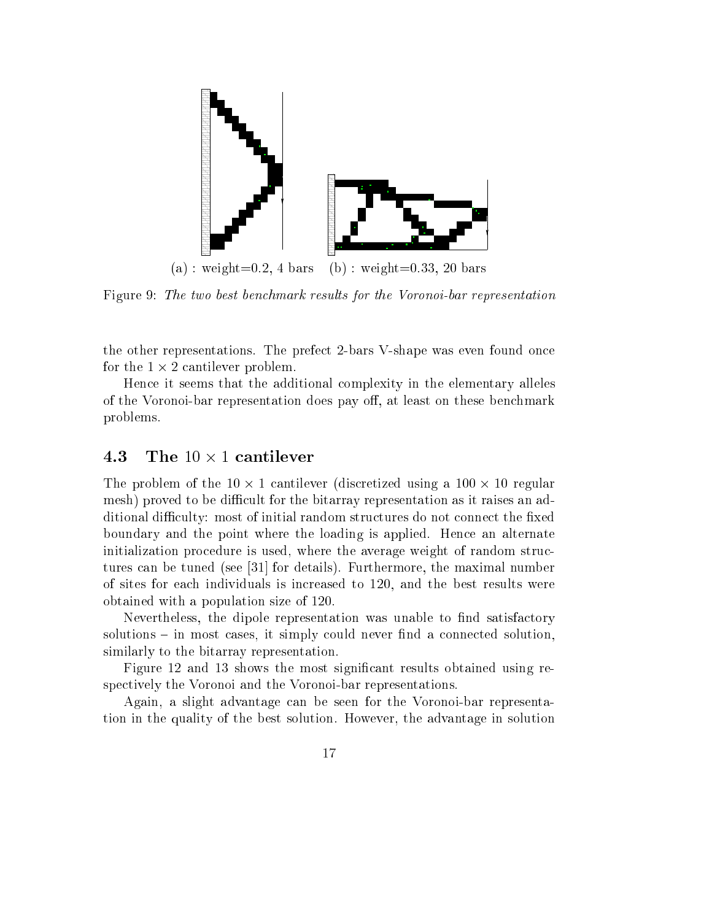

Figure 9: The two best benchmark results for the Voronoi-bar representation

the other representations. The prefe
t 2-bars V-shape was even found on
e for the 1 - 2 antilever problem.

Hen
e it seems that the additional omplexity in the elementary alleles of the Voronoi-bar representation does pay off, at least on these benchmark problems.

## 4.3

The problem of the 10 - 1 antilever (dis
retized using a 100 - 10 regular mesh) proved to be difficult for the bitarray representation as it raises an additional difficulty: most of initial random structures do not connect the fixed boundary and the point where the loading is applied. Hen
e an alternate initialization procedure is used, where the average weight of random structures can be tuned (see [31] for details). Furthermore, the maximal number of sites for ea
h individuals is in
reased to 120, and the best results were obtained with a population size of 120.

Nevertheless, the dipole representation was unable to find satisfactory  $solutions - in most cases, it simply could never find a connected solution,$ similarly to the bitarray representation.

Figure 12 and 13 shows the most significant results obtained using respe
tively the Voronoi and the Voronoi-bar representations.

Again, a slight advantage an be seen for the Voronoi-bar representation in the quality of the best solution. However, the advantage in solution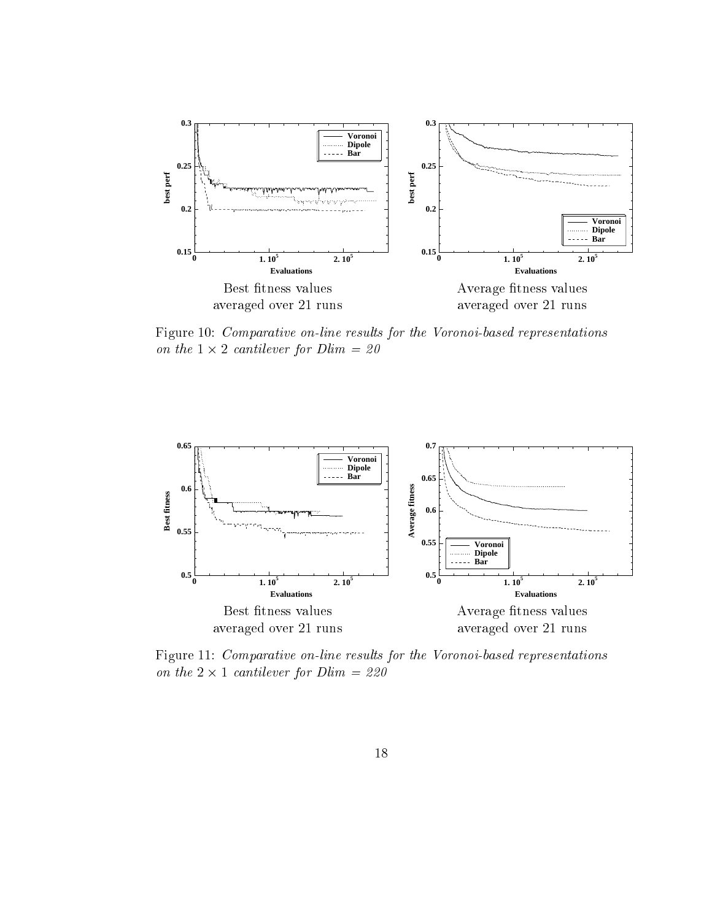

Figure 10: Comparative on-line results for the Voronoi-based representations on the 1 - 2 antilever for Dlim = 20



Figure 11: Comparative on-line results for the Voronoi-based representations antilever for Distribution and District the Company of the 200 and 220 and 220 and 220 and 220 and 220 and 22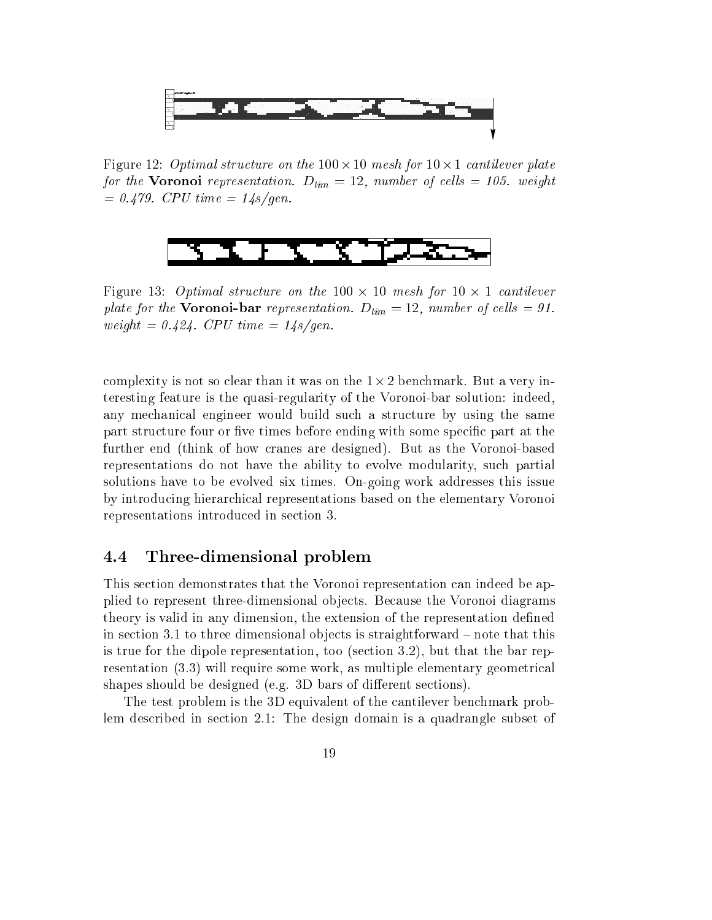

Figure 12: Optimal stru
ture on the 100 - 10 mesh for 10 - 1 antilever plate for the **Voronoi** representation.  $D_{lim} = 12$ , number of cells = 105. weight  $= 0.479$ . CPU time  $= 14s/gen$ .



Figure 13: Optimal stru
ture on the 100 - 10 mesh for 10 - 1 antilever plate for the **Voronoi-bar** representation.  $D_{lim} = 12$ , number of cells = 91. weight =  $0.424$ . CPU time =  $14s/gen$ .

omplexity is not so lear than it was on the 1-2 ben
hmark. But a very interesting feature is the quasi-regularity of the Voronoi-bar solution: indeed, any mechanical engineer would build such a structure by using the same part structure four or five times before ending with some specific part at the further end (think of how ranes are designed). But as the Voronoi-based representations do not have the ability to evolve modularity, su
h partial solutions have to be evolved six times. On-going work addresses this issue by introdu
ing hierar
hi
al representations based on the elementary Voronoi representations introdu
ed in se
tion 3.

### Three-dimensional problem

This se
tion demonstrates that the Voronoi representation an indeed be applied to represent three-dimensional objects. Because the Voronoi diagrams theory is valid in any dimension, the extension of the representation defined in section 3.1 to three dimensional objects is straightforward – note that this is true for the dipole representation, too (section 3.2), but that the bar representation (3.3) will require some work, as multiple elementary geometrical shapes should be designed (e.g. 3D bars of different sections).

The test problem is the 3D equivalent of the cantilever benchmark problem des
ribed in se
tion 2.1: The design domain is a quadrangle subset of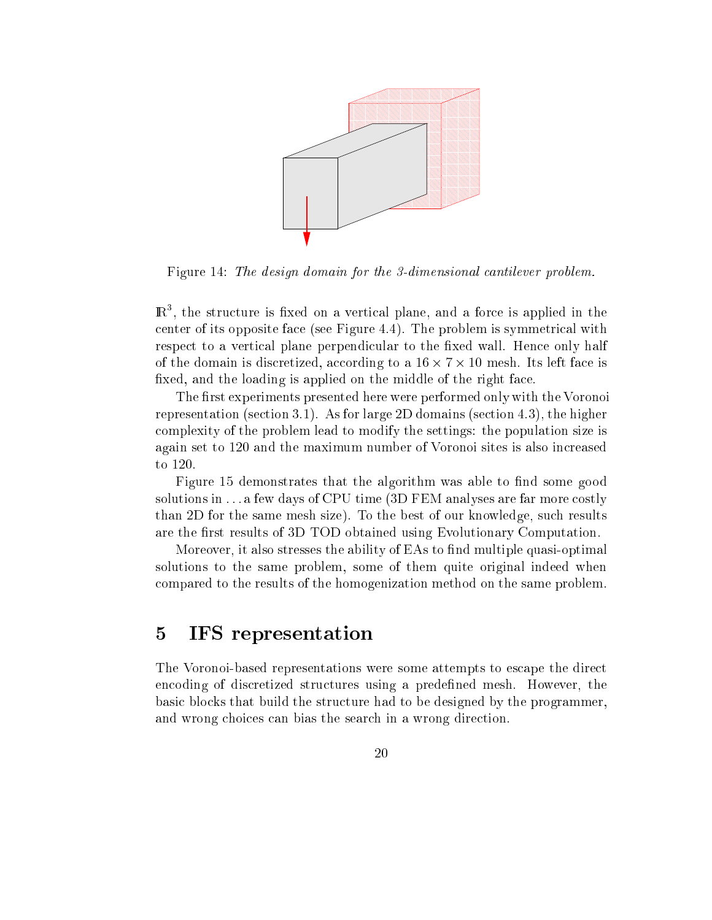

Figure 14: The design domain for the 3-dimensional cantilever problem.

 $\mathbb{R}^+$ , the structure is fixed on a vertical plane, and a force is applied in the enter of its opposite fa
e (see Figure 4.4). The problem is symmetri
al with respect to a vertical plane perpendicular to the fixed wall. Hence only half of the domain is distinct factor in the domain  $\pi$  is distinct factor of the second factor  $\pi$ fixed, and the loading is applied on the middle of the right face.

The first experiments presented here were performed only with the Voronoi representation (se
tion 3.1). As for large 2D domains (se
tion 4.3), the higher omplexity of the problem lead to modify the settings: the population size is again set to 120 and the maximum number of Voronoi sites is also in
reased to 120.

Figure 15 demonstrates that the algorithm was able to find some good solutions in  $\dots$  a few days of CPU time (3D FEM analyses are far more costly than 2D for the same mesh size). To the best of our knowledge, su
h results are the first results of 3D TOD obtained using Evolutionary Computation.

Moreover, it also stresses the ability of EAs to find multiple quasi-optimal solutions to the same problem, some of them quite original indeed when ompared to the results of the homogenization method on the same problem.

# 5 IFS representation

The Voronoi-based representations were some attempts to escape the direct en
oding of dis
retized stru
tures using a predened mesh. However, the basi blo
ks that build the stru
ture had to be designed by the programmer, and wrong choices can bias the search in a wrong direction.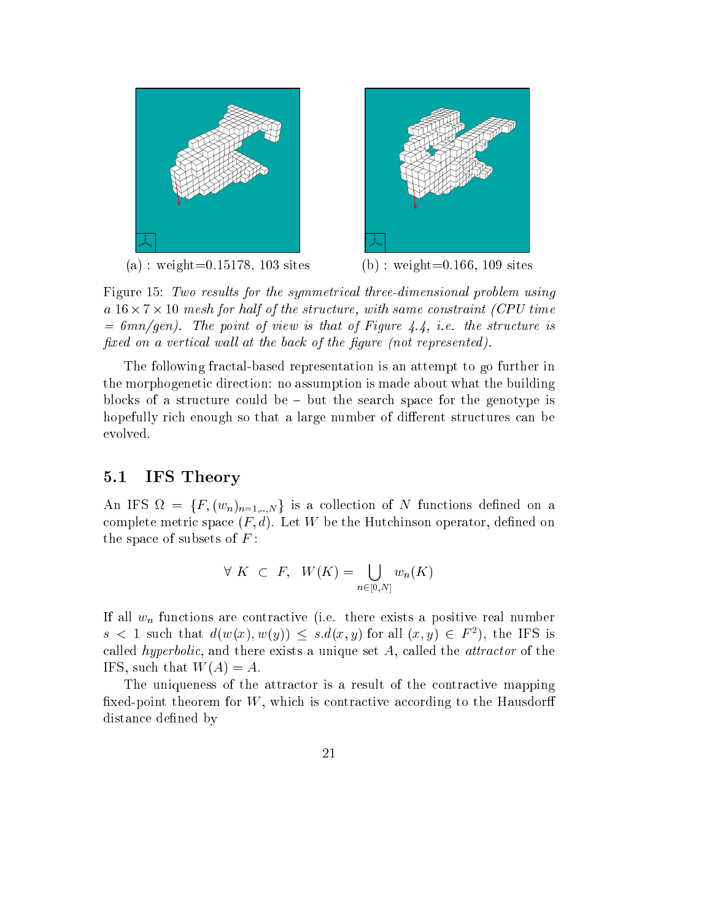

Figure 15: Two results for the symmetrical three-dimensional problem using a ture, with same on the structure structure in the structure of the same of the same of the same of the same  $= 6mn/gen$ ). The point of view is that of Figure 4.4, i.e. the structure is fixed on a vertical wall at the back of the figure (not represented).

The following fractal-based representation is an attempt to go further in the morphogeneti dire
tion: no assumption is made about what the building blocks of a structure could be  $-$  but the search space for the genotype is hopefully rich enough so that a large number of different structures can be evolved.

#### 5.1IFS Theory

An if  $S$  is  $I = \{I', (w_n)_{n=1,..,N}\}$  is a conection of N functions defined on a complete metric space  $(F, d)$ . Let W be the Hutchinson operator, defined on the space of subsets of  $F$ :

$$
\forall K \subset F, \quad W(K) = \bigcup_{n \in [0,N]} w_n(K)
$$

If all  $w_n$  functions are contractive (i.e. there exists a positive real number  $s \leq 1$  such that  $a(w(x), w(y)) \leq s.a(x, y)$  for all  $(x, y) \in F^{-}$ ), the IFS is called *hyperbolic*, and there exists a unique set  $A$ , called the *attractor* of the IFS, such that  $W(A) = A$ .

The uniqueness of the attractor is a result of the contractive mapping fixed-point theorem for  $W$ , which is contractive according to the Hausdorff distance defined by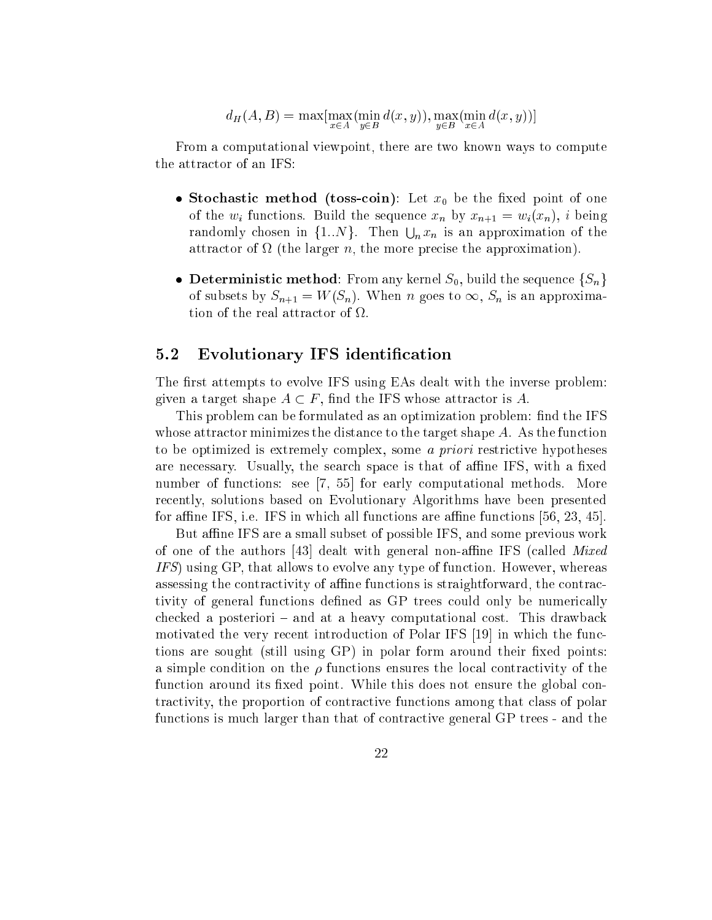$$
d_H(A, B) = \max[\max_{x \in A} (\min_{y \in B} d(x, y)), \max_{y \in B} (\min_{x \in A} d(x, y))]
$$

From a computational viewpoint, there are two known ways to compute the attra
tor of an IFS:

- sto the contract of the store of the store  $\mathcal{S}$  , and the the the store of the store of the store of the store of the store of the store of the store of the store of the store of the store of the store of the store of of the  $w_i$  functions. Build the sequence  $x_n$  by  $x_{n+1} = w_i(x_n)$ , i being randomly chosen in  $\{1..N\}$ . Then  $\bigcup_n x_n$  is an approximation of the attra
tor of (the larger n, the more pre
ise the approximation).
- $\bullet$  Deterministic include. From any active  $\mathcal{O}_0$ , build the sequence  $\lceil \mathcal{O}_n \rceil$ of subsets by  $S_{n+1} = W(S_n)$ . When n goes to  $\infty$ ,  $S_n$  is an approxima-

#### 5.2Evolutionary IFS identification

The first attempts to evolve IFS using EAs dealt with the inverse problem: given a target shape  $A \subset F$ , find the IFS whose attractor is A.

This problem can be formulated as an optimization problem: find the IFS whose attractor minimizes the distance to the target shape  $A$ . As the function to be optimized is extremely complex, some *a priori* restrictive hypotheses are necessary. Usually, the search space is that of affine IFS, with a fixed number of functions: see  $[7, 55]$  for early computational methods. More re
ently, solutions based on Evolutionary Algorithms have been presented for affine IFS, i.e. IFS in which all functions are affine functions  $[56, 23, 45]$ .

But affine IFS are a small subset of possible IFS, and some previous work of one of the authors [43] dealt with general non-affine IFS (called  $Mixed$ IFS) using GP, that allows to evolve any type of function. However, whereas assessing the contractivity of affine functions is straightforward, the contractivity of general functions defined as GP trees could only be numerically checked a posteriori – and at a heavy computational cost. This drawback motivated the very recent introduction of Polar IFS [19] in which the functions are sought (still using  $\langle GP \rangle$  in polar form around their fixed points: a simple condition on the  $\rho$  functions ensures the local contractivity of the function around its fixed point. While this does not ensure the global contractivity, the proportion of contractive functions among that class of polar functions is much larger than that of contractive general GP trees - and the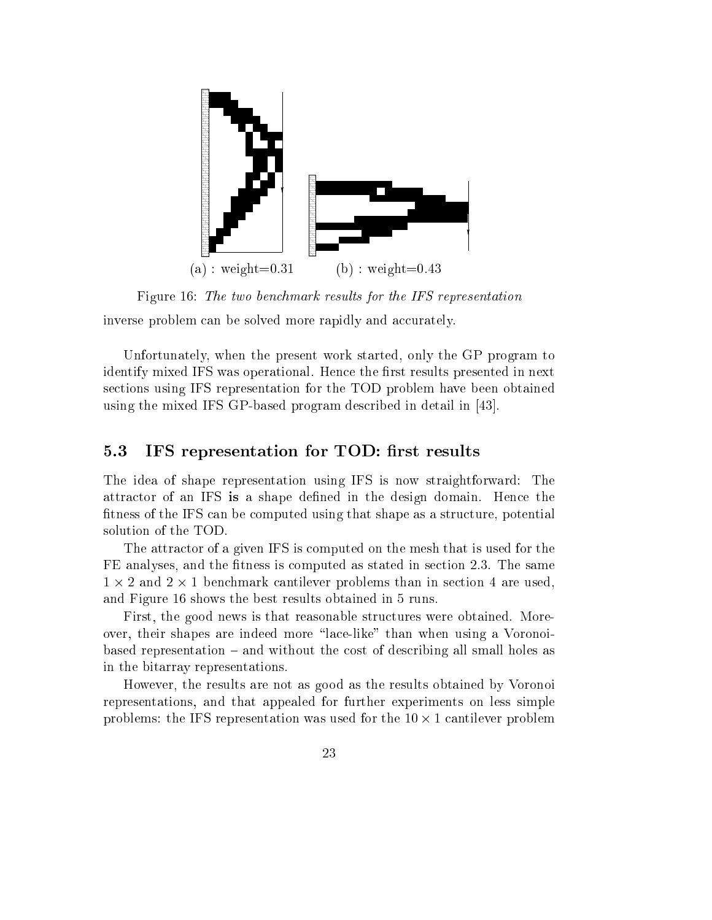

Figure 16: The two ben
hmark results for the IFS representation

inverse problem can be solved more rapidly and accurately.

Unfortunately, when the present work started, only the GP program to identify mixed IFS was operational. Hence the first results presented in next se
tions using IFS representation for the TOD problem have been obtained using the mixed IFS GP-based program described in detail in  $[43]$ .

#### $5.3$ IFS representation for TOD: first results

The idea of shape representation using IFS is now straightforward: The attractor of an IFS is a shape defined in the design domain. Hence the fitness of the IFS can be computed using that shape as a structure, potential solution of the TOD.

The attra
tor of a given IFS is omputed on the mesh that is used for the FE analyses, and the fitness is computed as stated in section 2.3. The same 1 - 2 and 2 - 1 ben
hmark antilever problems than in se
tion 4 are used, and Figure 16 shows the best results obtained in 5 runs.

First, the good news is that reasonable structures were obtained. Moreover, their shapes are indeed more "lace-like" than when using a Voronoibased representation  $-$  and without the cost of describing all small holes as in the bitarray representations.

However, the results are not as good as the results obtained by Voronoi representations, and that appealed for further experiments on less simple problems: the IFS representation was used for the IFS representation problems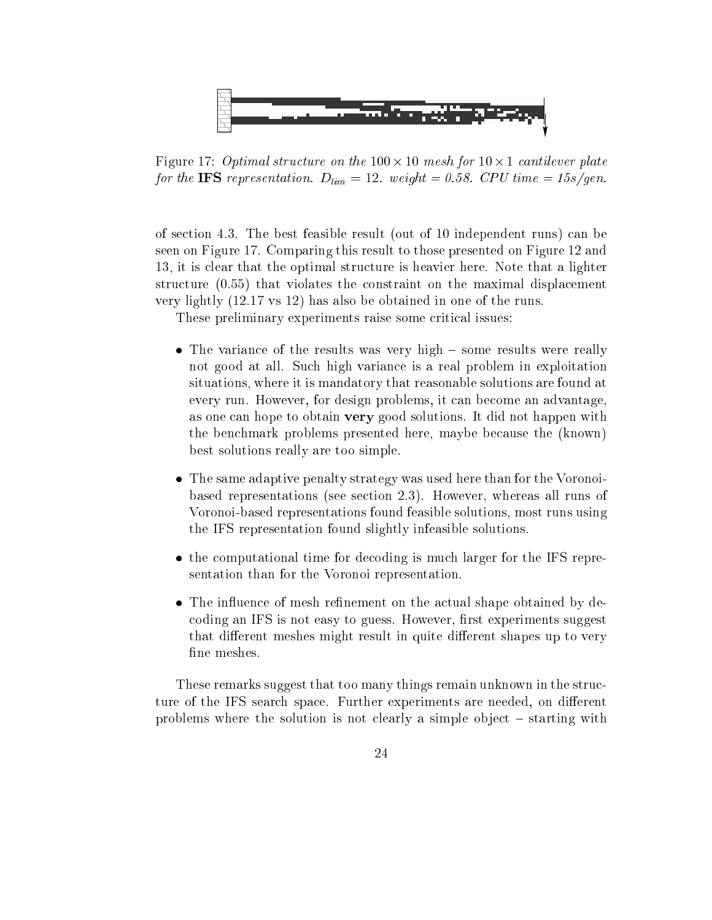

Figure 17: Optimal stru
ture on the 100 - 10 mesh for 10 - 1 antilever plate for the IFS representation.  $D_{lim} = 12$ . weight = 0.58. CPU time = 15s/gen.

of se
tion 4.3. The best feasible result (out of 10 independent runs) an be seen on Figure 17. Comparing this result to those presented on Figure 12 and 13, it is lear that the optimal stru
ture is heavier here. Note that a lighter structure  $(0.55)$  that violates the constraint on the maximal displacement very lightly (12.17 vs 12) has also be obtained in one of the runs.

These preliminary experiments raise some critical issues:

- e of the results was very high the results were really were really were really were really not good at all. Su
h high varian
e is a real problem in exploitation situations, where it is mandatory that reasonable solutions are found at every run. However, for design problems, it can become an advantage, as one an hope to obtain very good solutions. It did not happen with the ben
hmark problems presented here, maybe be
ause the (known) best solutions really are too simple.
- The same adaptive penalty strategy was used here than for the Voronoibased representations (see se
tion 2.3). However, whereas all runs of Voronoi-based representations found feasible solutions, most runs using the IFS representation found slightly infeasible solutions.
- the computational time for decoding is much information to the IFS representation than for the Voronoi representation.
- The in
uen
e of mesh renement on the a
tual shape obtained by de coding an IFS is not easy to guess. However, first experiments suggest that different meshes might result in quite different shapes up to very fine meshes.

These remarks suggest that too many things remain unknown in the structure of the IFS search space. Further experiments are needed, on different problems where the solution is not clearly a simple object  $-$  starting with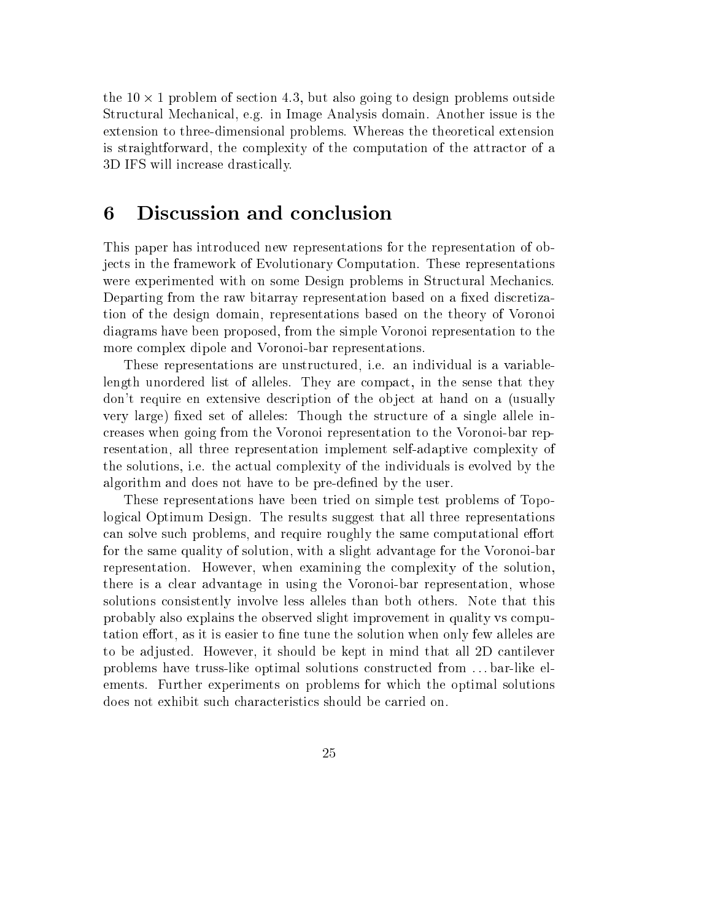the 10 - 1 problem of se
tion 4.3, but also going to design problems outside Stru
tural Me
hani
al, e.g. in Image Analysis domain. Another issue is the extension to three-dimensional problems. Whereas the theoreti
al extension is straightforward, the omplexity of the omputation of the attra
tor of a 3D IFS will in
rease drasti
ally.

### 6 Discussion and conclusion

This paper has introdu
ed new representations for the representation of obje
ts in the framework of Evolutionary Computation. These representations were experimented with on some Design problems in Structural Mechanics. Departing from the raw bitarray representation based on a fixed discretization of the design domain, representations based on the theory of Voronoi diagrams have been proposed, from the simple Voronoi representation to the more omplex dipole and Voronoi-bar representations.

These representations are unstru
tured, i.e. an individual is a variablelength unordered list of alleles. They are compact, in the sense that they don't require en extensive description of the object at hand on a (usually very large) fixed set of alleles: Though the structure of a single allele inreases when going from the Voronoi representation to the Voronoi-bar representation, all three representation implement self-adaptive omplexity of the solutions, i.e. the a
tual omplexity of the individuals is evolved by the algorithm and does not have to be pre-defined by the user.

These representations have been tried on simple test problems of Topologi
al Optimum Design. The results suggest that all three representations can solve such problems, and require roughly the same computational effort for the same quality of solution, with a slight advantage for the Voronoi-bar representation. However, when examining the omplexity of the solution, there is a lear advantage in using the Voronoi-bar representation, whose solutions onsistently involve less alleles than both others. Note that this probably also explains the observed slight improvement in quality vs omputation effort, as it is easier to fine tune the solution when only few alleles are to be adjusted. However, it should be kept in mind that all 2D antilever problems have truss-like optimal solutions constructed from ... bar-like elements. Further experiments on problems for which the optimal solutions does not exhibit su
h hara
teristi
s should be arried on.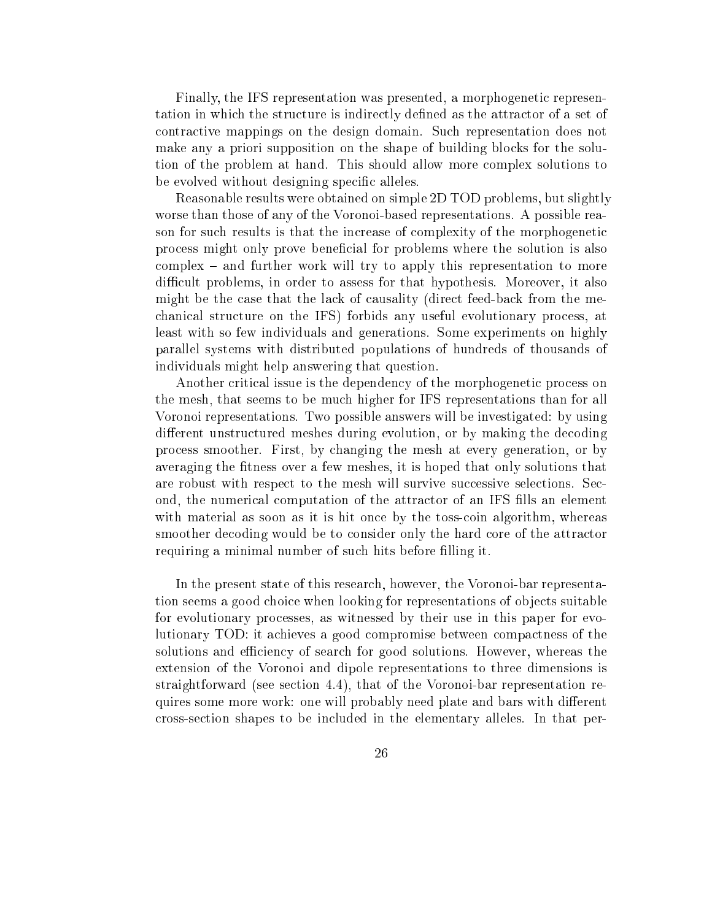Finally, the IFS representation was presented, a morphogenetic representation in which the structure is indirectly defined as the attractor of a set of ontra
tive mappings on the design domain. Su
h representation does not make any a priori supposition on the shape of building blo
ks for the solution of the problem at hand. This should allow more omplex solutions to be evolved without designing specific alleles.

Reasonable results were obtained on simple 2D TOD problems, but slightly worse than those of any of the Voronoi-based representations. A possible reason for such results is that the increase of complexity of the morphogenetic pro
ess might only prove bene
ial for problems where the solution is also  $complex - and further work will try to apply this representation to more$ difficult problems, in order to assess for that hypothesis. Moreover, it also might be the case that the lack of causality (direct feed-back from the mehani
al stru
ture on the IFS) forbids any useful evolutionary pro
ess, at least with so few individuals and generations. Some experiments on highly parallel systems with distributed populations of hundreds of thousands of individuals might help answering that question.

Another critical issue is the dependency of the morphogenetic process on the mesh, that seems to be mu
h higher for IFS representations than for all Voronoi representations. Two possible answers will be investigated: by using different unstructured meshes during evolution, or by making the decoding pro
ess smoother. First, by hanging the mesh at every generation, or by averaging the fitness over a few meshes, it is hoped that only solutions that are robust with respect to the mesh will survive successive selections. Second, the numeri
al omputation of the attra
tor of an IFS lls an element with material as soon as it is hit once by the toss-coin algorithm, whereas smoother decoding would be to consider only the hard core of the attractor requiring a minimal number of such hits before filling it.

In the present state of this resear
h, however, the Voronoi-bar representation seems a good choice when looking for representations of objects suitable for evolutionary pro
esses, as witnessed by their use in this paper for evolutionary TOD: it a
hieves a good ompromise between ompa
tness of the solutions and efficiency of search for good solutions. However, whereas the extension of the Voronoi and dipole representations to three dimensions is straightforward (see se
tion 4.4), that of the Voronoi-bar representation requires some more work: one will probably need plate and bars with different cross-section shapes to be included in the elementary alleles. In that per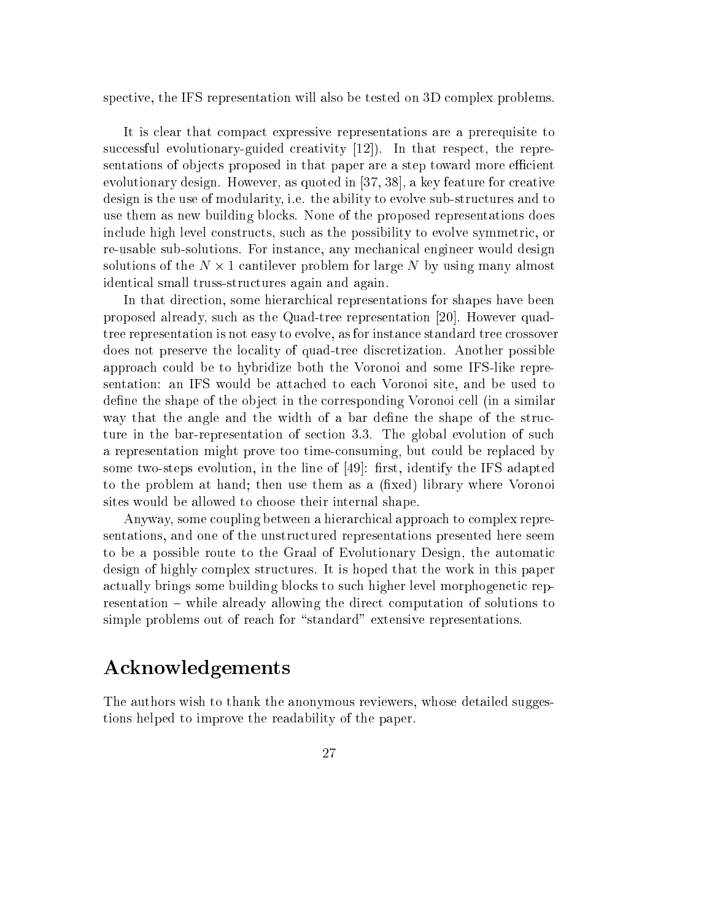spective, the IFS representation will also be tested on 3D complex problems.

It is lear that ompa
t expressive representations are a prerequisite to successful evolutionary-guided creativity  $(12)$ . In that respect, the representations of objects proposed in that paper are a step toward more efficient evolutionary design. However, as quoted in  $[37, 38]$ , a key feature for creative design is the use of modularity, i.e. the ability to evolve sub-structures and to use them as new building blo
ks. None of the proposed representations does in
lude high level onstru
ts, su
h as the possibility to evolve symmetri
, or re-usable sub-solutions. For instan
e, any me
hani
al engineer would design solutions of the N - 1 (1) - 1 (1) - 1 (1) - 1 (1) - 1 (1) - 1 (1) - 1 (1) - 1 (1) - 1 (1) - 1 (1) - 1 (1) - 1 identi
al small truss-stru
tures again and again.

In that direction, some hierarchical representations for shapes have been proposed already, such as the Quad-tree representation [20]. However quadtree representation is not easy to evolve, as for instan
e standard tree rossover does not preserve the locality of quad-tree discretization. Another possible approa
h ould be to hybridize both the Voronoi and some IFS-like representation: an IFS would be atta
hed to ea
h Voronoi site, and be used to define the shape of the object in the corresponding Voronoi cell (in a similar way that the angle and the width of a bar define the shape of the structure in the bar-representation of section 3.3. The global evolution of such a representation might prove too timeonsuming, but ould be repla
ed by some two-steps evolution, in the line of  $[49]$ : first, identify the IFS adapted to the problem at hand; then use them as a (fixed) library where Voronoi sites would be allowed to hoose their internal shape.

Anyway, some coupling between a hierarchical approach to complex representations, and one of the unstru
tured representations presented here seem to be a possible route to the Graal of Evolutionary Design, the automati design of highly omplex stru
tures. It is hoped that the work in this paper actually brings some building blocks to such higher level morphogenetic representation – while already allowing the direct computation of solutions to simple problems out of reach for "standard" extensive representations.

# A
knowledgements

The authors wish to thank the anonymous reviewers, whose detailed suggestions helped to improve the readability of the paper.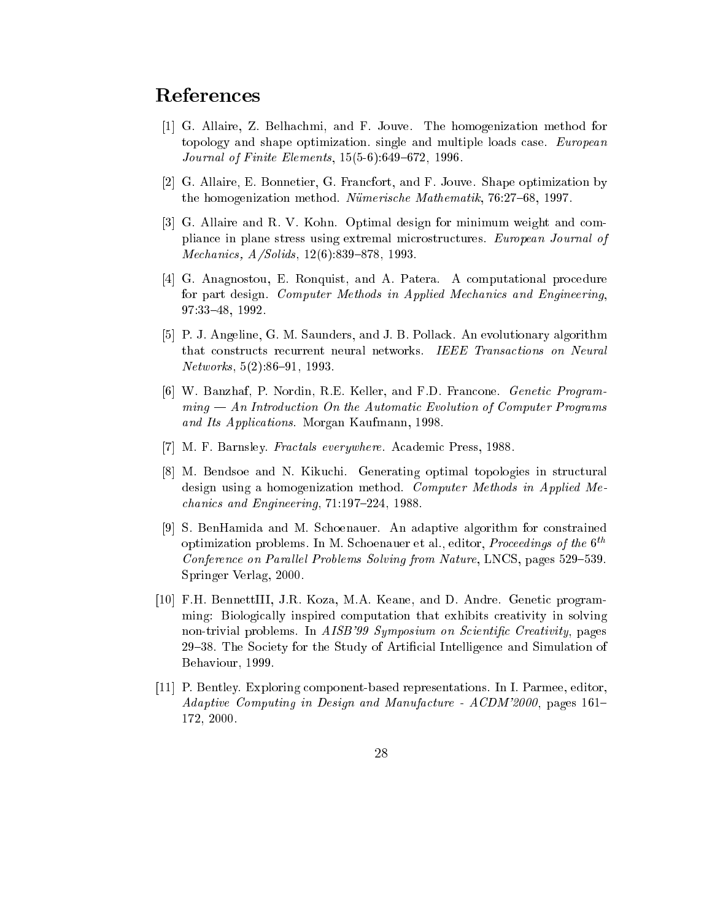# Referen
es

- [1] G. Allaire, Z. Belhachmi, and F. Jouve. The homogenization method for topology and shape optimization. single and multiple loads case. *European Journal of Finite Elements*,  $15(5-6):649-672$ , 1996.
- [2] G. Allaire, E. Bonnetier, G. Francfort, and F. Jouve. Shape optimization by the homogenization method. Nümerische Mathematik, 76:27-68, 1997.
- [3] G. Allaire and R. V. Kohn. Optimal design for minimum weight and compliance in plane stress using extremal microstructures. European Journal of Mechanics, A/Solids, 12(6):839-878, 1993.
- [4] G. Anagnostou, E. Ronquist, and A. Patera. A computational procedure for part design. Computer Methods in Applied Mechanics and Engineering, 97:33{48, 1992.
- [5] P. J. Angeline, G. M. Saunders, and J. B. Pollack. An evolutionary algorithm that constructs recurrent neural networks. IEEE Transactions on Neural  $Networks, 5(2):86–91, 1993.$
- [6] W. Banzhaf, P. Nordin, R.E. Keller, and F.D. Francone. *Genetic Program*ming — An Introduction On the Automatic Evolution of Computer Programs and Its Appli
ations. Morgan Kaufmann, 1998.
- [7] M. F. Barnsley. *Fractals everywhere*. Academic Press, 1988.
- [8] M. Bendsoe and N. Kikuchi. Generating optimal topologies in structural design using a homogenization method. Computer Methods in Applied Me  $chanics and Engineering, 71:197-224, 1988.$
- [9] S. BenHamida and M. Schoenauer. An adaptive algorithm for constrained optimization problems. In M. Schoenauer et al., editor, *Proceedings of the*  $6<sup>th</sup>$ Conference on Parallel Problems Solving from Nature, LNCS, pages 529-539. Springer Verlag, 2000.
- [10] F.H. BennettIII, J.R. Koza, M.A. Keane, and D. Andre. Genetic programming: Biologically inspired computation that exhibits creativity in solving non-trivial problems. In AISB'99 Symposium on Scientific Creativity, pages 29{38. The So
iety for the Study of Arti
ial Intelligen
e and Simulation of Behaviour, 1999.
- [11] P. Bentley. Exploring component-based representations. In I. Parmee, editor, Adaptive Computing in Design and Manufacture - ACDM'2000, pages 161-172, 2000.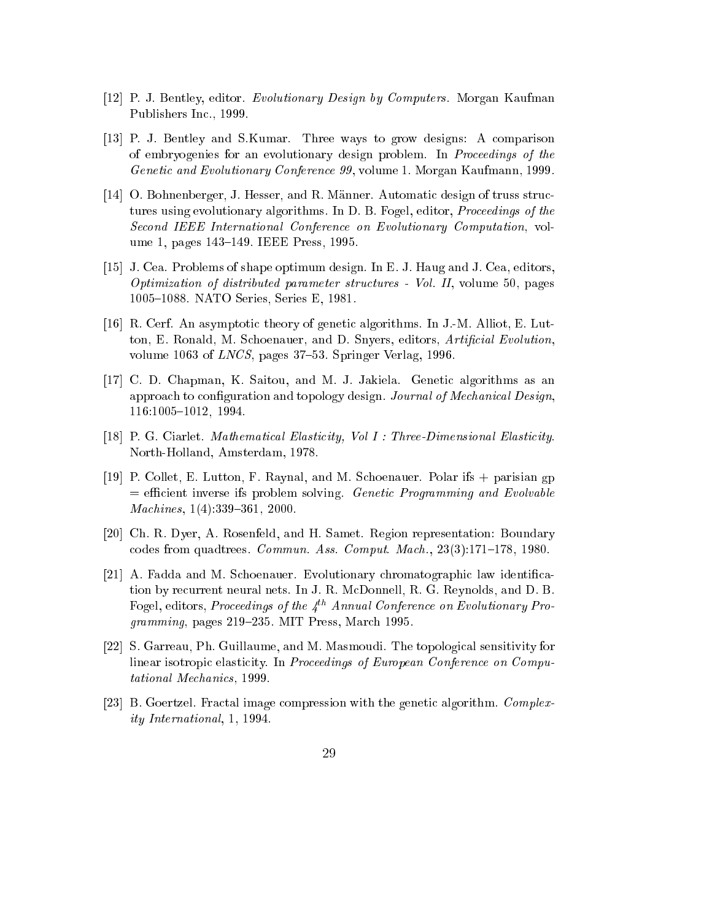- [12] P. J. Bentley, editor. Evolutionary Design by Computers. Morgan Kaufman Publishers In
., 1999.
- [13] P. J. Bentley and S.Kumar. Three ways to grow designs: A comparison of embryogenies for an evolutionary design problem. In *Proceedings of the* Geneti and Evolutionary Conferen
e 99, volume 1. Morgan Kaufmann, 1999.
- [14] O. Bohnenberger, J. Hesser, and R. Männer. Automatic design of truss structures using evolutionary algorithms. In D. B. Fogel, editor, *Proceedings of the* Se
ond IEEE International Conferen
e on Evolutionary Computation, volume 1, pages 143-149. IEEE Press, 1995.
- [15] J. Cea. Problems of shape optimum design. In E. J. Haug and J. Cea, editors, Optimization of distributed parameter stru
tures - Vol. II, volume 50, pages 1005-1088. NATO Series, Series E, 1981.
- [16] R. Cerf. An asymptotic theory of genetic algorithms. In J.-M. Alliot, E. Lutton, E. Ronald, M. Schoenauer, and D. Snyers, editors, Artificial Evolution. volume 1063 of  $LNCS$ , pages 37–53. Springer Verlag, 1996.
- [17] C. D. Chapman, K. Saitou, and M. J. Jakiela. Genetic algorithms as an approach to configuration and topology design. Journal of Mechanical Design, 116:1005-1012, 1994.
- [18] P. G. Ciarlet. Mathematical Elasticity, Vol I: Three-Dimensional Elasticity. North-Holland, Amsterdam, 1978.
- [19] P. Collet, E. Lutton, F. Raynal, and M. Schoenauer. Polar ifs  $+$  parisian gp  $=$  efficient inverse ifs problem solving. Genetic Programming and Evolvable  $Machines, 1(4):339-361, 2000.$
- [20] Ch. R. Dyer, A. Rosenfeld, and H. Samet. Region representation: Boundary codes from quadtrees. *Commun. Ass. Comput. Mach.*,  $23(3):171-178$ ,  $1980$ .
- [21] A. Fadda and M. Schoenauer. Evolutionary chromatographic law identification by re
urrent neural nets. In J. R. M
Donnell, R. G. Reynolds, and D. B. Fogel, editors, Proceedings of the  $4^{th}$  Annual Conference on Evolutionary Pro $gramming$ , pages 219–235. MIT Press, March 1995.
- [22] S. Garreau, Ph. Guillaume, and M. Masmoudi. The topological sensitivity for linear isotropic elasticity. In Proceedings of European Conference on Computational Me
hani
s, 1999.
- [23] B. Goertzel. Fractal image compression with the genetic algorithm. Complexity International, 1, 1994.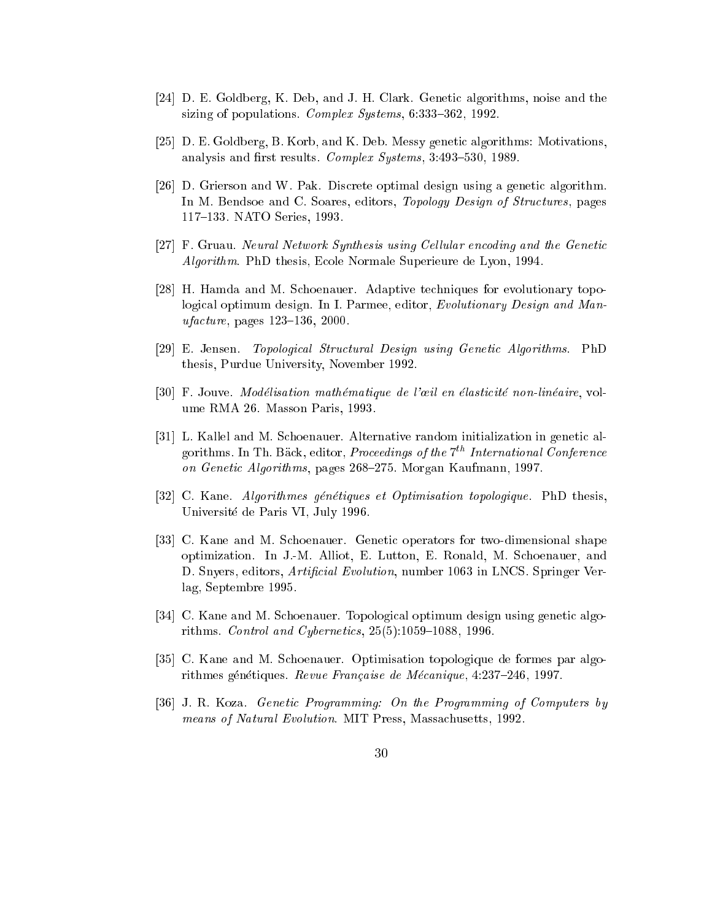- [24] D. E. Goldberg, K. Deb, and J. H. Clark. Genetic algorithms, noise and the sizing of populations. Complex Systems,  $6:333-362$ , 1992.
- [25] D. E. Goldberg, B. Korb, and K. Deb. Messy genetic algorithms: Motivations, analysis and first results. Complex Systems, 3:493-530, 1989.
- [26] D. Grierson and W. Pak. Discrete optimal design using a genetic algorithm. In M. Bendsoe and C. Soares, editors, *Topology Design of Structures*, pages 117-133. NATO Series, 1993.
- [27] F. Gruau. Neural Network Synthesis using Cellular encoding and the Genetic Algorithm. PhD thesis, E
ole Normale Superieure de Lyon, 1994.
- [28] H. Hamda and M. Schoenauer. Adaptive techniques for evolutionary topological optimum design. In I. Parmee, editor, Evolutionary Design and Man $u facture$ , pages  $123-136$ ,  $2000$ .
- [29] E. Jensen. Topological Structural Design using Genetic Algorithms. PhD thesis, Purdue University, November 1992.
- [30] F. Jouve. Modélisation mathématique de l'œil en élasticité non-linéaire, volume RMA 26. Masson Paris, 1993.
- [31] L. Kallel and M. Schoenauer. Alternative random initialization in genetic algorithms. In Th. Bäck, editor, *Proceedings of the*  $7<sup>th</sup>$  *International Conference* on Genetic Algorithms, pages 268–275. Morgan Kaufmann, 1997.
- [32] C. Kane. Algorithmes génétiques et Optimisation topologique. PhD thesis, Universite de Paris VI, July 1996.
- [33] C. Kane and M. Schoenauer. Genetic operators for two-dimensional shape optimization. In J.-M. Alliot, E. Lutton, E. Ronald, M. S
hoenauer, and D. Snyers, editors, *Artificial Evolution*, number 1063 in LNCS. Springer Verlag, Septembre 1995.
- [34] C. Kane and M. Schoenauer. Topological optimum design using genetic algorithms. Control and Cybernetics,  $25(5):1059-1088$ , 1996.
- [35] C. Kane and M. Schoenauer. Optimisation topologique de formes par algorithmes génétiques. Revue Française de Mécanique, 4:237-246, 1997.
- [36] J. R. Koza. Genetic Programming: On the Programming of Computers by means of Natural Evolution. MIT Press, Massachusetts, 1992.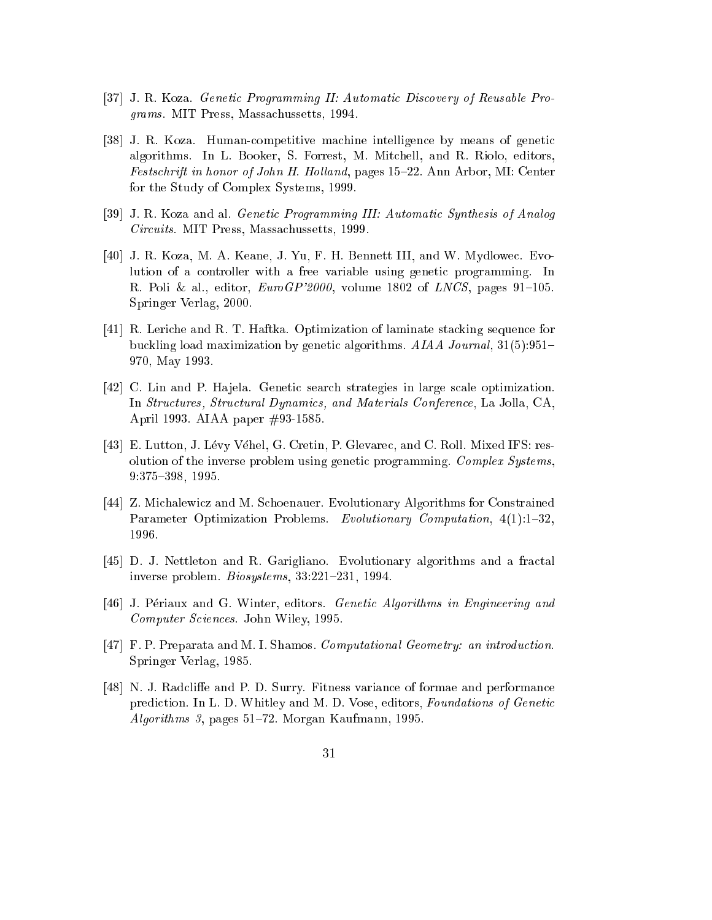- [37] J. R. Koza. *Genetic Programming II: Automatic Discovery of Reusable Pro*grams. MIT Press, Massa
hussetts, 1994.
- [38] J. R. Koza. Human-competitive machine intelligence by means of genetic algorithms. In L. Booker, S. Forrest, M. Mit
hell, and R. Riolo, editors, Festschrift in honor of John H. Holland, pages 15-22. Ann Arbor, MI: Center for the Study of Complex Systems, 1999.
- [39] J. R. Koza and al. *Genetic Programming III: Automatic Synthesis of Analog* Circuits. MIT Press, Massachussetts, 1999.
- [40] J. R. Koza, M. A. Keane, J. Yu, F. H. Bennett III, and W. Mydlowec. Evolution of a ontroller with a free variable using geneti programming. In R. Poli & al., editor,  $EuroGP'2000$ , volume 1802 of  $LNCS$ , pages 91-105. Springer Verlag, 2000.
- [41] R. Leriche and R. T. Haftka. Optimization of laminate stacking sequence for buckling load maximization by genetic algorithms. AIAA Journal, 31(5):951-970, May 1993.
- [42] C. Lin and P. Hajela. Genetic search strategies in large scale optimization. In Structures, Structural Dynamics, and Materials Conference, La Jolla, CA, April 1993. AIAA paper #93-1585.
- [43] E. Lutton, J. Lévy Véhel, G. Cretin, P. Glevarec, and C. Roll. Mixed IFS: resolution of the inverse problem using genetic programming. Complex Systems, 9:375-398, 1995.
- [44] Z. Michalewicz and M. Schoenauer. Evolutionary Algorithms for Constrained Parameter Optimization Problems. Evolutionary Computation, 4(1):1-32, 1996.
- [45] D. J. Nettleton and R. Garigliano. Evolutionary algorithms and a fractal inverse problem.  $Biosystems$ , 33:221-231, 1994.
- [46] J. Périaux and G. Winter, editors. *Genetic Algorithms in Engineering and* Computer S
ien
es. John Wiley, 1995.
- [47] F. P. Preparata and M. I. Shamos. Computational Geometry: an introduction. Springer Verlag, 1985.
- [48] N. J. Radcliffe and P. D. Surry. Fitness variance of formae and performance prediction. In L. D. Whitley and M. D. Vose, editors, Foundations of Genetic Algorithms 3, pages  $51-72$ . Morgan Kaufmann, 1995.